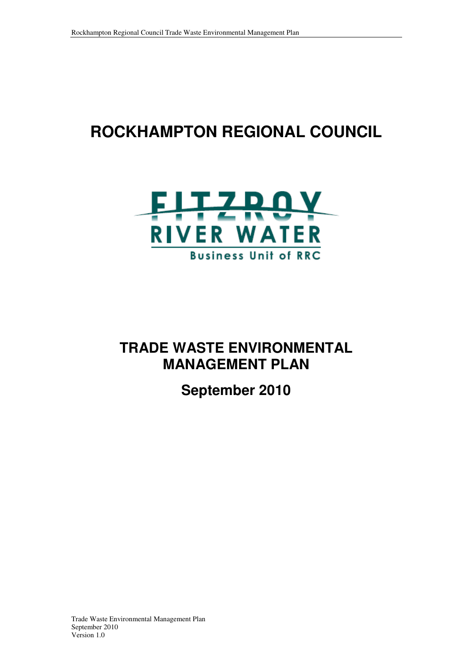# **ROCKHAMPTON REGIONAL COUNCIL**



# **TRADE WASTE ENVIRONMENTAL MANAGEMENT PLAN**

**September 2010**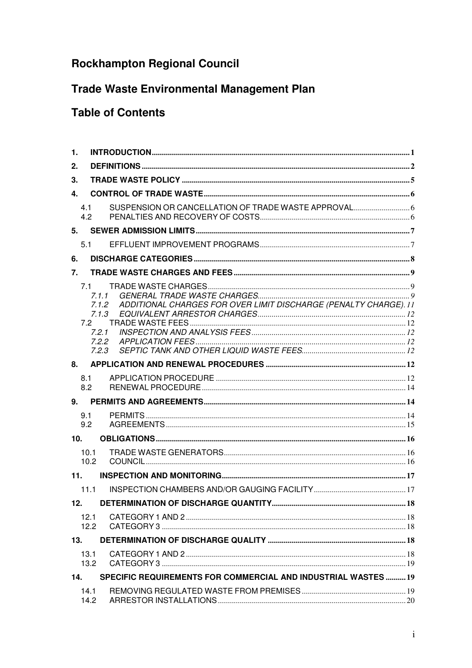## **Rockhampton Regional Council**

## **Trade Waste Environmental Management Plan**

## **Table of Contents**

| 1.              |                                                           |                                                                  |  |
|-----------------|-----------------------------------------------------------|------------------------------------------------------------------|--|
| 2.              |                                                           |                                                                  |  |
| 3.              |                                                           |                                                                  |  |
| 4.              |                                                           |                                                                  |  |
| 4.1<br>4.2      |                                                           |                                                                  |  |
| 5.              |                                                           |                                                                  |  |
| 5.1             |                                                           |                                                                  |  |
| 6.              |                                                           |                                                                  |  |
| 7 <sub>1</sub>  |                                                           |                                                                  |  |
| 7.1             | 7.1.1<br>7.1.2<br>7.1.3<br>7.2<br>7.2.1<br>7.2.2<br>7.2.3 | ADDITIONAL CHARGES FOR OVER LIMIT DISCHARGE (PENALTY CHARGE). 11 |  |
| 8.              |                                                           |                                                                  |  |
| 8.1<br>8.2      |                                                           |                                                                  |  |
| 9.              |                                                           |                                                                  |  |
| 9.1<br>9.2      |                                                           |                                                                  |  |
| 10 <sub>1</sub> |                                                           |                                                                  |  |
|                 | 10.1<br>10.2                                              |                                                                  |  |
| 11.             |                                                           |                                                                  |  |
|                 | 11.1                                                      |                                                                  |  |
| 12.             |                                                           |                                                                  |  |
|                 | 12.1<br>12.2                                              |                                                                  |  |
| 13.             |                                                           |                                                                  |  |
|                 | 13.1<br>13.2                                              |                                                                  |  |
| 14.             |                                                           | SPECIFIC REQUIREMENTS FOR COMMERCIAL AND INDUSTRIAL WASTES  19   |  |
|                 | 14.1<br>14.2                                              |                                                                  |  |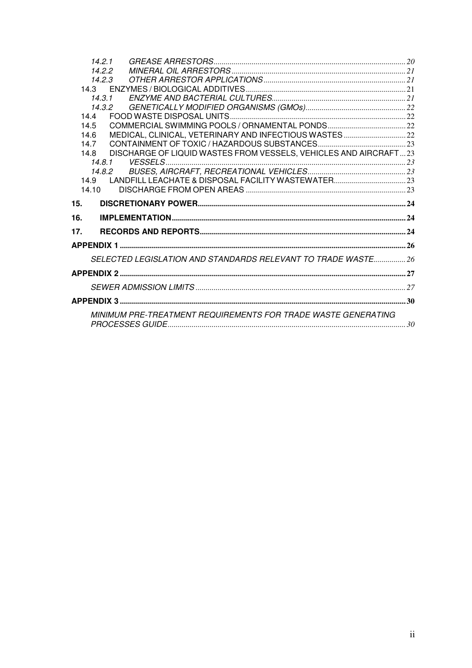|     | 14.2.1                                                                   |  |
|-----|--------------------------------------------------------------------------|--|
|     | 14.2.2                                                                   |  |
|     | 14.2.3                                                                   |  |
|     |                                                                          |  |
|     | 14.3.1                                                                   |  |
|     | 14.3.2                                                                   |  |
|     | 14.4                                                                     |  |
|     | 14.5                                                                     |  |
|     | MEDICAL, CLINICAL, VETERINARY AND INFECTIOUS WASTES 22<br>14.6           |  |
|     | 14.7                                                                     |  |
|     | DISCHARGE OF LIQUID WASTES FROM VESSELS, VEHICLES AND AIRCRAFT23<br>14.8 |  |
|     | 14.8.1                                                                   |  |
|     | 14.8.2<br>14.9                                                           |  |
|     | 1410                                                                     |  |
|     |                                                                          |  |
|     |                                                                          |  |
| 15. |                                                                          |  |
| 16. |                                                                          |  |
| 17. |                                                                          |  |
|     |                                                                          |  |
|     | SELECTED LEGISLATION AND STANDARDS RELEVANT TO TRADE WASTE 26            |  |
|     |                                                                          |  |
|     |                                                                          |  |
|     |                                                                          |  |
|     | MINIMUM PRE-TREATMENT REQUIREMENTS FOR TRADE WASTE GENERATING            |  |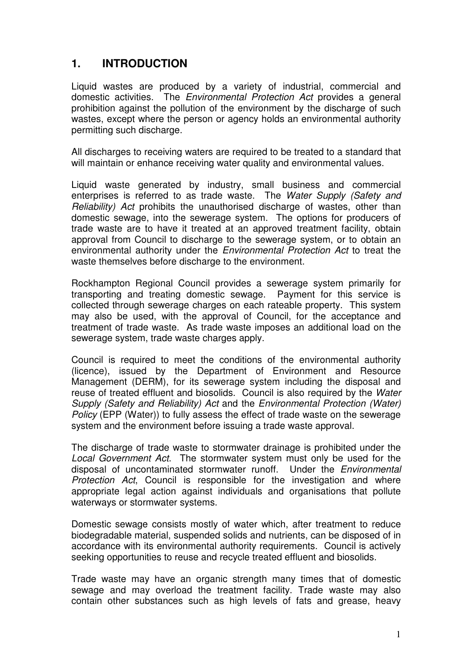## **1. INTRODUCTION**

Liquid wastes are produced by a variety of industrial, commercial and domestic activities. The Environmental Protection Act provides a general prohibition against the pollution of the environment by the discharge of such wastes, except where the person or agency holds an environmental authority permitting such discharge.

All discharges to receiving waters are required to be treated to a standard that will maintain or enhance receiving water quality and environmental values.

Liquid waste generated by industry, small business and commercial enterprises is referred to as trade waste. The Water Supply (Safety and Reliability) Act prohibits the unauthorised discharge of wastes, other than domestic sewage, into the sewerage system. The options for producers of trade waste are to have it treated at an approved treatment facility, obtain approval from Council to discharge to the sewerage system, or to obtain an environmental authority under the Environmental Protection Act to treat the waste themselves before discharge to the environment.

Rockhampton Regional Council provides a sewerage system primarily for transporting and treating domestic sewage. Payment for this service is collected through sewerage charges on each rateable property. This system may also be used, with the approval of Council, for the acceptance and treatment of trade waste. As trade waste imposes an additional load on the sewerage system, trade waste charges apply.

Council is required to meet the conditions of the environmental authority (licence), issued by the Department of Environment and Resource Management (DERM), for its sewerage system including the disposal and reuse of treated effluent and biosolids. Council is also required by the Water Supply (Safety and Reliability) Act and the Environmental Protection (Water) Policy (EPP (Water)) to fully assess the effect of trade waste on the sewerage system and the environment before issuing a trade waste approval.

The discharge of trade waste to stormwater drainage is prohibited under the Local Government Act. The stormwater system must only be used for the disposal of uncontaminated stormwater runoff. Under the Environmental Protection Act, Council is responsible for the investigation and where appropriate legal action against individuals and organisations that pollute waterways or stormwater systems.

Domestic sewage consists mostly of water which, after treatment to reduce biodegradable material, suspended solids and nutrients, can be disposed of in accordance with its environmental authority requirements. Council is actively seeking opportunities to reuse and recycle treated effluent and biosolids.

Trade waste may have an organic strength many times that of domestic sewage and may overload the treatment facility. Trade waste may also contain other substances such as high levels of fats and grease, heavy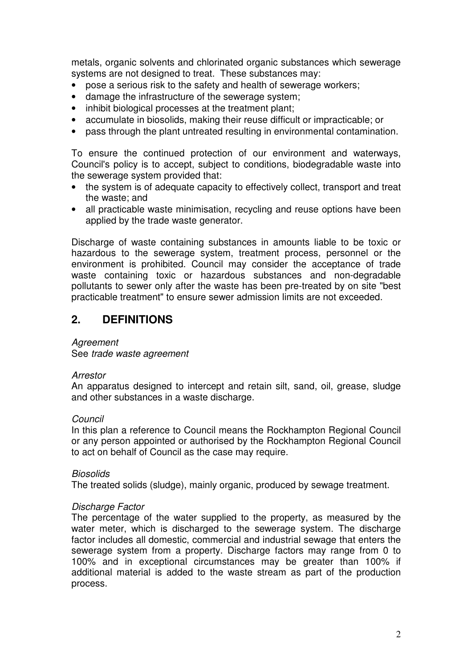metals, organic solvents and chlorinated organic substances which sewerage systems are not designed to treat. These substances may:

- pose a serious risk to the safety and health of sewerage workers;
- damage the infrastructure of the sewerage system;
- inhibit biological processes at the treatment plant;
- accumulate in biosolids, making their reuse difficult or impracticable; or
- pass through the plant untreated resulting in environmental contamination.

To ensure the continued protection of our environment and waterways, Council's policy is to accept, subject to conditions, biodegradable waste into the sewerage system provided that:

- the system is of adequate capacity to effectively collect, transport and treat the waste; and
- all practicable waste minimisation, recycling and reuse options have been applied by the trade waste generator.

Discharge of waste containing substances in amounts liable to be toxic or hazardous to the sewerage system, treatment process, personnel or the environment is prohibited. Council may consider the acceptance of trade waste containing toxic or hazardous substances and non-degradable pollutants to sewer only after the waste has been pre-treated by on site "best practicable treatment" to ensure sewer admission limits are not exceeded.

## **2. DEFINITIONS**

#### **Agreement**

See trade waste agreement

#### Arrestor

An apparatus designed to intercept and retain silt, sand, oil, grease, sludge and other substances in a waste discharge.

#### Council

In this plan a reference to Council means the Rockhampton Regional Council or any person appointed or authorised by the Rockhampton Regional Council to act on behalf of Council as the case may require.

#### **Biosolids**

The treated solids (sludge), mainly organic, produced by sewage treatment.

#### Discharge Factor

The percentage of the water supplied to the property, as measured by the water meter, which is discharged to the sewerage system. The discharge factor includes all domestic, commercial and industrial sewage that enters the sewerage system from a property. Discharge factors may range from 0 to 100% and in exceptional circumstances may be greater than 100% if additional material is added to the waste stream as part of the production process.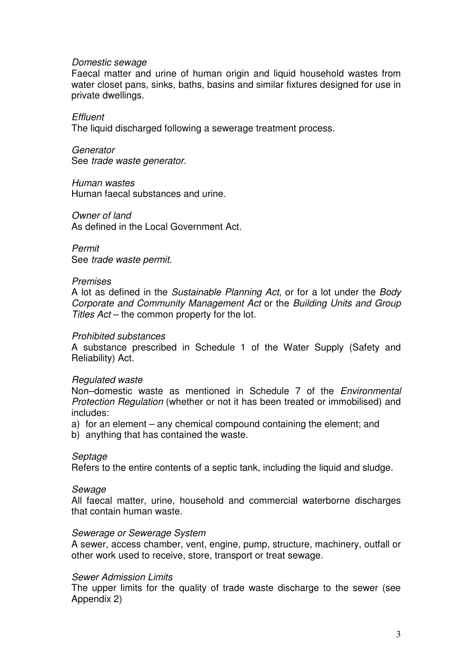#### Domestic sewage

Faecal matter and urine of human origin and liquid household wastes from water closet pans, sinks, baths, basins and similar fixtures designed for use in private dwellings.

**Effluent** The liquid discharged following a sewerage treatment process.

**Generator** See trade waste generator.

Human wastes Human faecal substances and urine.

Owner of land As defined in the Local Government Act.

Permit See trade waste permit.

#### Premises

A lot as defined in the Sustainable Planning Act, or for a lot under the Body Corporate and Community Management Act or the Building Units and Group Titles Act – the common property for the lot.

#### Prohibited substances

A substance prescribed in Schedule 1 of the Water Supply (Safety and Reliability) Act.

#### Regulated waste

Non–domestic waste as mentioned in Schedule 7 of the Environmental Protection Regulation (whether or not it has been treated or immobilised) and includes:

a) for an element – any chemical compound containing the element; and

b) anything that has contained the waste.

#### **Septage**

Refers to the entire contents of a septic tank, including the liquid and sludge.

#### **Sewage**

All faecal matter, urine, household and commercial waterborne discharges that contain human waste.

#### Sewerage or Sewerage System

A sewer, access chamber, vent, engine, pump, structure, machinery, outfall or other work used to receive, store, transport or treat sewage.

#### Sewer Admission Limits

The upper limits for the quality of trade waste discharge to the sewer (see Appendix 2)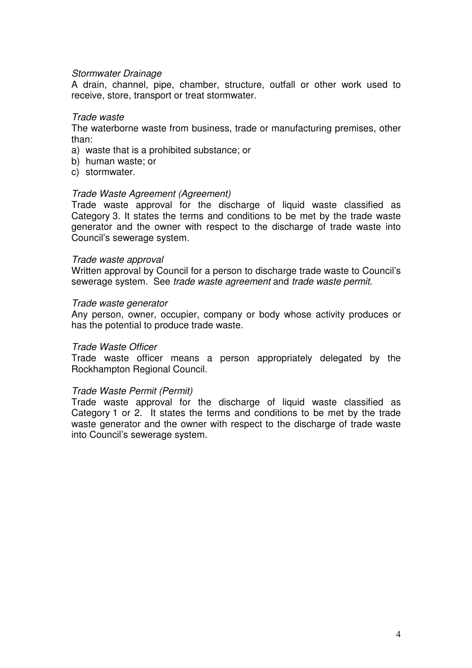#### Stormwater Drainage

A drain, channel, pipe, chamber, structure, outfall or other work used to receive, store, transport or treat stormwater.

#### Trade waste

The waterborne waste from business, trade or manufacturing premises, other than:

- a) waste that is a prohibited substance; or
- b) human waste; or
- c) stormwater.

#### Trade Waste Agreement (Agreement)

Trade waste approval for the discharge of liquid waste classified as Category 3. It states the terms and conditions to be met by the trade waste generator and the owner with respect to the discharge of trade waste into Council's sewerage system.

#### Trade waste approval

Written approval by Council for a person to discharge trade waste to Council's sewerage system. See trade waste agreement and trade waste permit.

#### Trade waste generator

Any person, owner, occupier, company or body whose activity produces or has the potential to produce trade waste.

#### Trade Waste Officer

Trade waste officer means a person appropriately delegated by the Rockhampton Regional Council.

#### Trade Waste Permit (Permit)

Trade waste approval for the discharge of liquid waste classified as Category 1 or 2. It states the terms and conditions to be met by the trade waste generator and the owner with respect to the discharge of trade waste into Council's sewerage system.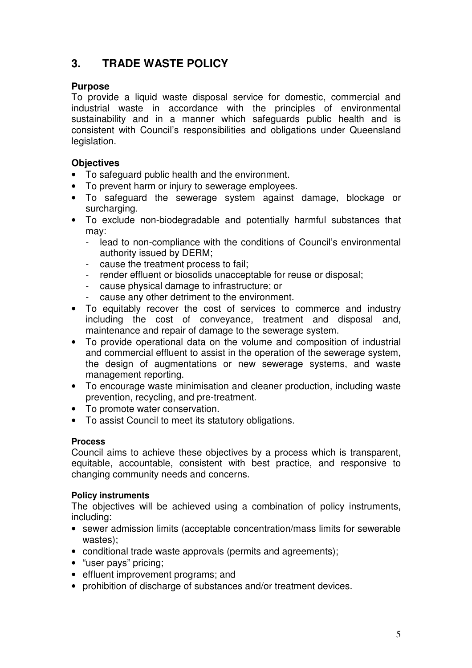## **3. TRADE WASTE POLICY**

#### **Purpose**

To provide a liquid waste disposal service for domestic, commercial and industrial waste in accordance with the principles of environmental sustainability and in a manner which safeguards public health and is consistent with Council's responsibilities and obligations under Queensland legislation.

### **Objectives**

- To safeguard public health and the environment.
- To prevent harm or injury to sewerage employees.
- To safeguard the sewerage system against damage, blockage or surcharging.
- To exclude non-biodegradable and potentially harmful substances that may:
	- lead to non-compliance with the conditions of Council's environmental authority issued by DERM;
	- cause the treatment process to fail;
	- render effluent or biosolids unacceptable for reuse or disposal;
	- cause physical damage to infrastructure; or
	- cause any other detriment to the environment.
- To equitably recover the cost of services to commerce and industry including the cost of conveyance, treatment and disposal and, maintenance and repair of damage to the sewerage system.
- To provide operational data on the volume and composition of industrial and commercial effluent to assist in the operation of the sewerage system, the design of augmentations or new sewerage systems, and waste management reporting.
- To encourage waste minimisation and cleaner production, including waste prevention, recycling, and pre-treatment.
- To promote water conservation.
- To assist Council to meet its statutory obligations.

#### **Process**

Council aims to achieve these objectives by a process which is transparent, equitable, accountable, consistent with best practice, and responsive to changing community needs and concerns.

#### **Policy instruments**

The objectives will be achieved using a combination of policy instruments, including:

- sewer admission limits (acceptable concentration/mass limits for sewerable wastes);
- conditional trade waste approvals (permits and agreements);
- "user pays" pricing;
- effluent improvement programs; and
- prohibition of discharge of substances and/or treatment devices.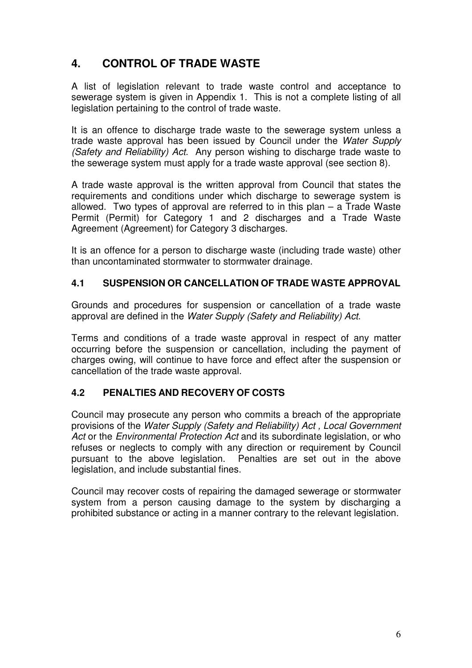## **4. CONTROL OF TRADE WASTE**

A list of legislation relevant to trade waste control and acceptance to sewerage system is given in Appendix 1. This is not a complete listing of all legislation pertaining to the control of trade waste.

It is an offence to discharge trade waste to the sewerage system unless a trade waste approval has been issued by Council under the Water Supply (Safety and Reliability) Act. Any person wishing to discharge trade waste to the sewerage system must apply for a trade waste approval (see section 8).

A trade waste approval is the written approval from Council that states the requirements and conditions under which discharge to sewerage system is allowed. Two types of approval are referred to in this plan – a Trade Waste Permit (Permit) for Category 1 and 2 discharges and a Trade Waste Agreement (Agreement) for Category 3 discharges.

It is an offence for a person to discharge waste (including trade waste) other than uncontaminated stormwater to stormwater drainage.

### **4.1 SUSPENSION OR CANCELLATION OF TRADE WASTE APPROVAL**

Grounds and procedures for suspension or cancellation of a trade waste approval are defined in the Water Supply (Safety and Reliability) Act.

Terms and conditions of a trade waste approval in respect of any matter occurring before the suspension or cancellation, including the payment of charges owing, will continue to have force and effect after the suspension or cancellation of the trade waste approval.

### **4.2 PENALTIES AND RECOVERY OF COSTS**

Council may prosecute any person who commits a breach of the appropriate provisions of the Water Supply (Safety and Reliability) Act , Local Government Act or the *Environmental Protection Act* and its subordinate legislation, or who refuses or neglects to comply with any direction or requirement by Council pursuant to the above legislation. Penalties are set out in the above legislation, and include substantial fines.

Council may recover costs of repairing the damaged sewerage or stormwater system from a person causing damage to the system by discharging a prohibited substance or acting in a manner contrary to the relevant legislation.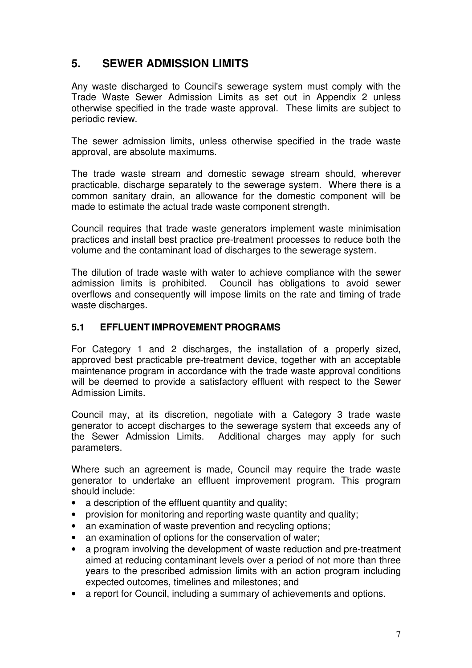## **5. SEWER ADMISSION LIMITS**

Any waste discharged to Council's sewerage system must comply with the Trade Waste Sewer Admission Limits as set out in Appendix 2 unless otherwise specified in the trade waste approval. These limits are subject to periodic review.

The sewer admission limits, unless otherwise specified in the trade waste approval, are absolute maximums.

The trade waste stream and domestic sewage stream should, wherever practicable, discharge separately to the sewerage system. Where there is a common sanitary drain, an allowance for the domestic component will be made to estimate the actual trade waste component strength.

Council requires that trade waste generators implement waste minimisation practices and install best practice pre-treatment processes to reduce both the volume and the contaminant load of discharges to the sewerage system.

The dilution of trade waste with water to achieve compliance with the sewer admission limits is prohibited. Council has obligations to avoid sewer overflows and consequently will impose limits on the rate and timing of trade waste discharges.

### **5.1 EFFLUENT IMPROVEMENT PROGRAMS**

For Category 1 and 2 discharges, the installation of a properly sized, approved best practicable pre-treatment device, together with an acceptable maintenance program in accordance with the trade waste approval conditions will be deemed to provide a satisfactory effluent with respect to the Sewer Admission Limits.

Council may, at its discretion, negotiate with a Category 3 trade waste generator to accept discharges to the sewerage system that exceeds any of the Sewer Admission Limits. Additional charges may apply for such parameters.

Where such an agreement is made, Council may require the trade waste generator to undertake an effluent improvement program. This program should include:

- a description of the effluent quantity and quality;
- provision for monitoring and reporting waste quantity and quality;
- an examination of waste prevention and recycling options;
- an examination of options for the conservation of water;
- a program involving the development of waste reduction and pre-treatment aimed at reducing contaminant levels over a period of not more than three years to the prescribed admission limits with an action program including expected outcomes, timelines and milestones; and
- a report for Council, including a summary of achievements and options.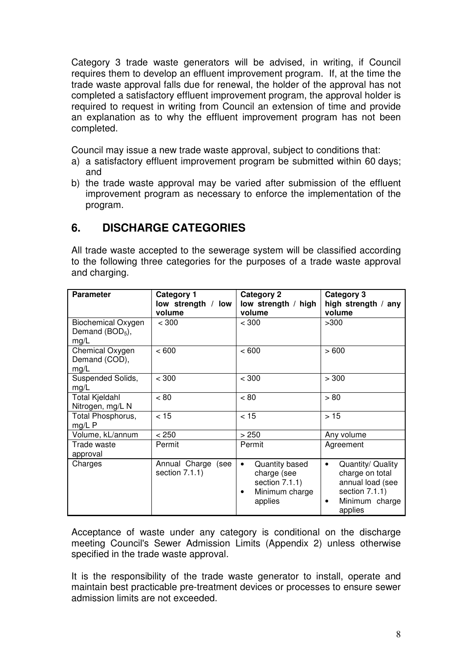Category 3 trade waste generators will be advised, in writing, if Council requires them to develop an effluent improvement program. If, at the time the trade waste approval falls due for renewal, the holder of the approval has not completed a satisfactory effluent improvement program, the approval holder is required to request in writing from Council an extension of time and provide an explanation as to why the effluent improvement program has not been completed.

Council may issue a new trade waste approval, subject to conditions that:

- a) a satisfactory effluent improvement program be submitted within 60 days; and
- b) the trade waste approval may be varied after submission of the effluent improvement program as necessary to enforce the implementation of the program.

## **6. DISCHARGE CATEGORIES**

All trade waste accepted to the sewerage system will be classified according to the following three categories for the purposes of a trade waste approval and charging.

| <b>Parameter</b>                                       | Category 1<br>low strength / low<br>volume | <b>Category 2</b><br>low strength / high<br>volume                                                     | Category 3<br>high strength / any<br>volume                                                                               |
|--------------------------------------------------------|--------------------------------------------|--------------------------------------------------------------------------------------------------------|---------------------------------------------------------------------------------------------------------------------------|
| <b>Biochemical Oxygen</b><br>Demand $(BOD5)$ ,<br>mg/L | < 300                                      | < 300                                                                                                  | >300                                                                                                                      |
| Chemical Oxygen<br>Demand (COD),<br>mg/L               | < 600                                      | < 600                                                                                                  | >600                                                                                                                      |
| Suspended Solids,<br>mg/L                              | < 300                                      | < 300                                                                                                  | > 300                                                                                                                     |
| <b>Total Kjeldahl</b><br>Nitrogen, mg/L N              | < 80                                       | ~< 80                                                                                                  | > 80                                                                                                                      |
| Total Phosphorus,<br>$mg/L$ P                          | < 15                                       | < 15                                                                                                   | >15                                                                                                                       |
| Volume, kL/annum                                       | < 250                                      | > 250                                                                                                  | Any volume                                                                                                                |
| Trade waste<br>approval                                | Permit                                     | Permit                                                                                                 | Agreement                                                                                                                 |
| Charges                                                | Annual Charge<br>(see<br>section 7.1.1)    | Quantity based<br>$\bullet$<br>charge (see<br>section 7.1.1)<br>Minimum charge<br>$\bullet$<br>applies | Quantity/ Quality<br>$\bullet$<br>charge on total<br>annual load (see<br>section 7.1.1)<br>Minimum charge<br>٠<br>applies |

Acceptance of waste under any category is conditional on the discharge meeting Council's Sewer Admission Limits (Appendix 2) unless otherwise specified in the trade waste approval.

It is the responsibility of the trade waste generator to install, operate and maintain best practicable pre-treatment devices or processes to ensure sewer admission limits are not exceeded.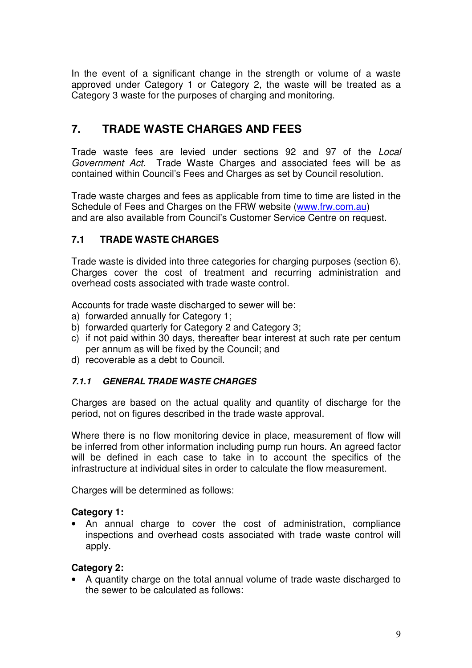In the event of a significant change in the strength or volume of a waste approved under Category 1 or Category 2, the waste will be treated as a Category 3 waste for the purposes of charging and monitoring.

## **7. TRADE WASTE CHARGES AND FEES**

Trade waste fees are levied under sections 92 and 97 of the Local Government Act. Trade Waste Charges and associated fees will be as contained within Council's Fees and Charges as set by Council resolution.

Trade waste charges and fees as applicable from time to time are listed in the Schedule of Fees and Charges on the FRW website (www.frw.com.au) and are also available from Council's Customer Service Centre on request.

### **7.1 TRADE WASTE CHARGES**

Trade waste is divided into three categories for charging purposes (section 6). Charges cover the cost of treatment and recurring administration and overhead costs associated with trade waste control.

Accounts for trade waste discharged to sewer will be:

- a) forwarded annually for Category 1;
- b) forwarded quarterly for Category 2 and Category 3;
- c) if not paid within 30 days, thereafter bear interest at such rate per centum per annum as will be fixed by the Council; and
- d) recoverable as a debt to Council.

### **7.1.1 GENERAL TRADE WASTE CHARGES**

Charges are based on the actual quality and quantity of discharge for the period, not on figures described in the trade waste approval.

Where there is no flow monitoring device in place, measurement of flow will be inferred from other information including pump run hours. An agreed factor will be defined in each case to take in to account the specifics of the infrastructure at individual sites in order to calculate the flow measurement.

Charges will be determined as follows:

### **Category 1:**

• An annual charge to cover the cost of administration, compliance inspections and overhead costs associated with trade waste control will apply.

### **Category 2:**

• A quantity charge on the total annual volume of trade waste discharged to the sewer to be calculated as follows: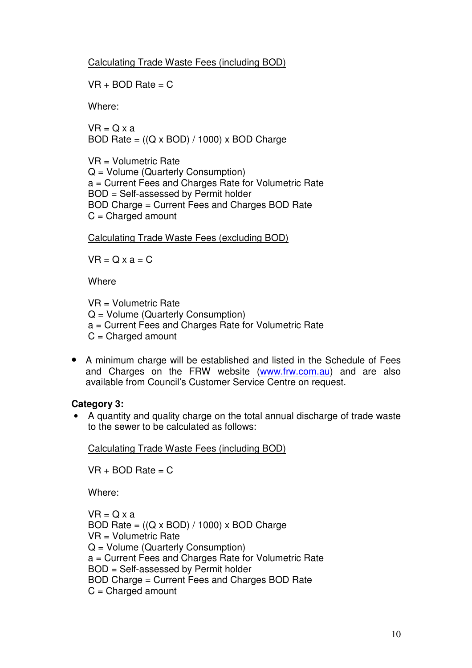Calculating Trade Waste Fees (including BOD)

 $VR + BOD Rate = C$ 

Where:

 $VR = Q \times a$ BOD Rate =  $((Q \times BOD) / 1000) \times BOD$  Charge

VR = Volumetric Rate Q = Volume (Quarterly Consumption) a = Current Fees and Charges Rate for Volumetric Rate BOD = Self-assessed by Permit holder BOD Charge = Current Fees and Charges BOD Rate  $C =$ Charged amount

Calculating Trade Waste Fees (excluding BOD)

 $VR = Q \times a = C$ 

**Where** 

VR = Volumetric Rate Q = Volume (Quarterly Consumption) a = Current Fees and Charges Rate for Volumetric Rate  $C =$ Charged amount

• A minimum charge will be established and listed in the Schedule of Fees and Charges on the FRW website (www.frw.com.au) and are also available from Council's Customer Service Centre on request.

#### **Category 3:**

• A quantity and quality charge on the total annual discharge of trade waste to the sewer to be calculated as follows:

Calculating Trade Waste Fees (including BOD)

 $VR + BOD Rate = C$ 

Where:

 $VR = Q \times a$ BOD Rate =  $((Q \times BOD) / 1000) \times BOD$  Charge VR = Volumetric Rate Q = Volume (Quarterly Consumption) a = Current Fees and Charges Rate for Volumetric Rate BOD = Self-assessed by Permit holder BOD Charge = Current Fees and Charges BOD Rate  $C =$ Charged amount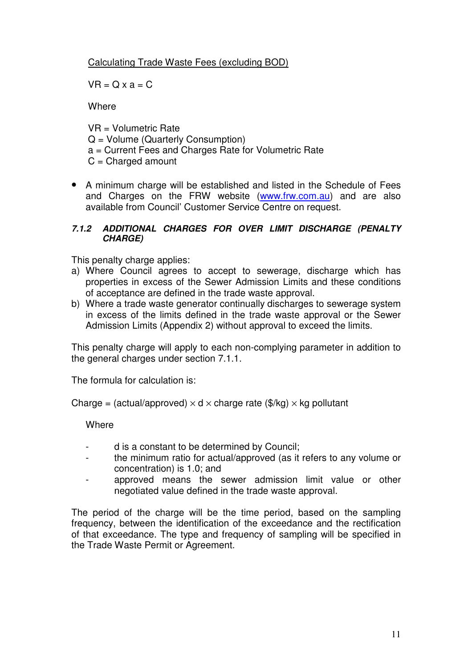### Calculating Trade Waste Fees (excluding BOD)

 $VR = Q \times a = C$ 

**Where** 

VR = Volumetric Rate Q = Volume (Quarterly Consumption) a = Current Fees and Charges Rate for Volumetric Rate  $C =$ Charged amount

• A minimum charge will be established and listed in the Schedule of Fees and Charges on the FRW website (www.frw.com.au) and are also available from Council' Customer Service Centre on request.

#### **7.1.2 ADDITIONAL CHARGES FOR OVER LIMIT DISCHARGE (PENALTY CHARGE)**

This penalty charge applies:

- a) Where Council agrees to accept to sewerage, discharge which has properties in excess of the Sewer Admission Limits and these conditions of acceptance are defined in the trade waste approval.
- b) Where a trade waste generator continually discharges to sewerage system in excess of the limits defined in the trade waste approval or the Sewer Admission Limits (Appendix 2) without approval to exceed the limits.

This penalty charge will apply to each non-complying parameter in addition to the general charges under section 7.1.1.

The formula for calculation is:

Charge = (actual/approved)  $\times$  d  $\times$  charge rate (\$/kg)  $\times$  kg pollutant

**Where** 

- d is a constant to be determined by Council;
- the minimum ratio for actual/approved (as it refers to any volume or concentration) is 1.0; and
- approved means the sewer admission limit value or other negotiated value defined in the trade waste approval.

The period of the charge will be the time period, based on the sampling frequency, between the identification of the exceedance and the rectification of that exceedance. The type and frequency of sampling will be specified in the Trade Waste Permit or Agreement.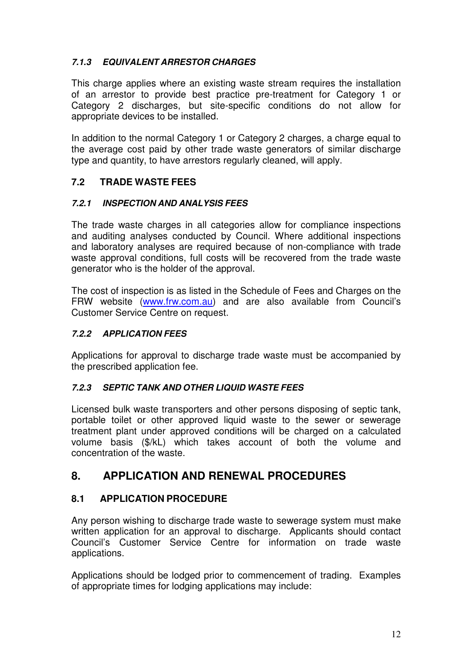### **7.1.3 EQUIVALENT ARRESTOR CHARGES**

This charge applies where an existing waste stream requires the installation of an arrestor to provide best practice pre-treatment for Category 1 or Category 2 discharges, but site-specific conditions do not allow for appropriate devices to be installed.

In addition to the normal Category 1 or Category 2 charges, a charge equal to the average cost paid by other trade waste generators of similar discharge type and quantity, to have arrestors regularly cleaned, will apply.

### **7.2 TRADE WASTE FEES**

#### **7.2.1 INSPECTION AND ANALYSIS FEES**

The trade waste charges in all categories allow for compliance inspections and auditing analyses conducted by Council. Where additional inspections and laboratory analyses are required because of non-compliance with trade waste approval conditions, full costs will be recovered from the trade waste generator who is the holder of the approval.

The cost of inspection is as listed in the Schedule of Fees and Charges on the FRW website (www.frw.com.au) and are also available from Council's Customer Service Centre on request.

### **7.2.2 APPLICATION FEES**

Applications for approval to discharge trade waste must be accompanied by the prescribed application fee.

### **7.2.3 SEPTIC TANK AND OTHER LIQUID WASTE FEES**

Licensed bulk waste transporters and other persons disposing of septic tank, portable toilet or other approved liquid waste to the sewer or sewerage treatment plant under approved conditions will be charged on a calculated volume basis (\$/kL) which takes account of both the volume and concentration of the waste.

## **8. APPLICATION AND RENEWAL PROCEDURES**

### **8.1 APPLICATION PROCEDURE**

Any person wishing to discharge trade waste to sewerage system must make written application for an approval to discharge. Applicants should contact Council's Customer Service Centre for information on trade waste applications.

Applications should be lodged prior to commencement of trading. Examples of appropriate times for lodging applications may include: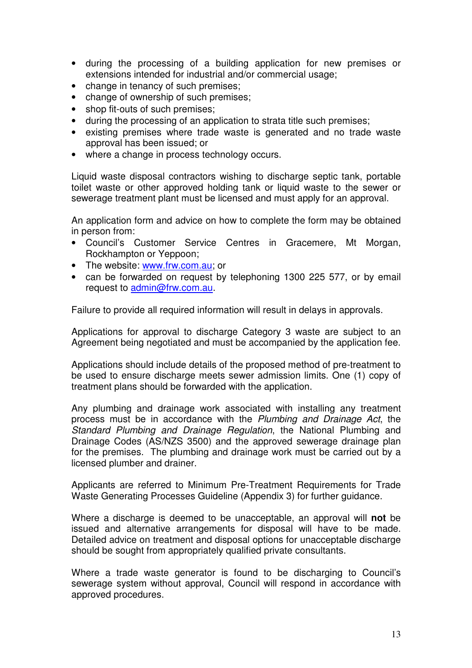- during the processing of a building application for new premises or extensions intended for industrial and/or commercial usage;
- change in tenancy of such premises;
- change of ownership of such premises;
- shop fit-outs of such premises;
- during the processing of an application to strata title such premises;
- existing premises where trade waste is generated and no trade waste approval has been issued; or
- where a change in process technology occurs.

Liquid waste disposal contractors wishing to discharge septic tank, portable toilet waste or other approved holding tank or liquid waste to the sewer or sewerage treatment plant must be licensed and must apply for an approval.

An application form and advice on how to complete the form may be obtained in person from:

- Council's Customer Service Centres in Gracemere, Mt Morgan, Rockhampton or Yeppoon;
- The website: www.frw.com.au; or
- can be forwarded on request by telephoning 1300 225 577, or by email request to admin@frw.com.au.

Failure to provide all required information will result in delays in approvals.

Applications for approval to discharge Category 3 waste are subject to an Agreement being negotiated and must be accompanied by the application fee.

Applications should include details of the proposed method of pre-treatment to be used to ensure discharge meets sewer admission limits. One (1) copy of treatment plans should be forwarded with the application.

Any plumbing and drainage work associated with installing any treatment process must be in accordance with the Plumbing and Drainage Act, the Standard Plumbing and Drainage Regulation, the National Plumbing and Drainage Codes (AS/NZS 3500) and the approved sewerage drainage plan for the premises. The plumbing and drainage work must be carried out by a licensed plumber and drainer.

Applicants are referred to Minimum Pre-Treatment Requirements for Trade Waste Generating Processes Guideline (Appendix 3) for further guidance.

Where a discharge is deemed to be unacceptable, an approval will **not** be issued and alternative arrangements for disposal will have to be made. Detailed advice on treatment and disposal options for unacceptable discharge should be sought from appropriately qualified private consultants.

Where a trade waste generator is found to be discharging to Council's sewerage system without approval, Council will respond in accordance with approved procedures.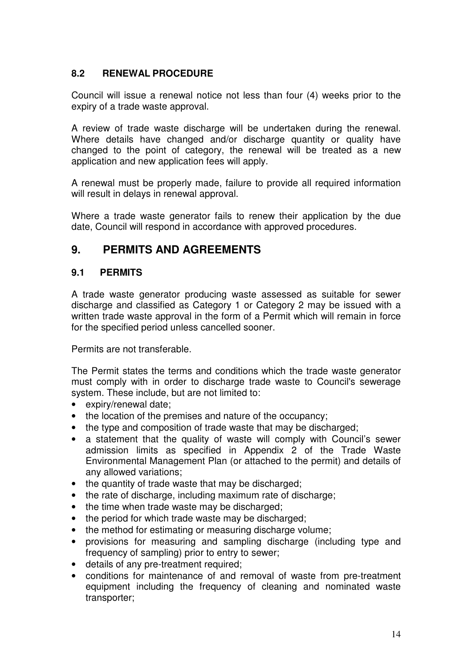### **8.2 RENEWAL PROCEDURE**

Council will issue a renewal notice not less than four (4) weeks prior to the expiry of a trade waste approval.

A review of trade waste discharge will be undertaken during the renewal. Where details have changed and/or discharge quantity or quality have changed to the point of category, the renewal will be treated as a new application and new application fees will apply.

A renewal must be properly made, failure to provide all required information will result in delays in renewal approval.

Where a trade waste generator fails to renew their application by the due date, Council will respond in accordance with approved procedures.

## **9. PERMITS AND AGREEMENTS**

### **9.1 PERMITS**

A trade waste generator producing waste assessed as suitable for sewer discharge and classified as Category 1 or Category 2 may be issued with a written trade waste approval in the form of a Permit which will remain in force for the specified period unless cancelled sooner.

Permits are not transferable.

The Permit states the terms and conditions which the trade waste generator must comply with in order to discharge trade waste to Council's sewerage system. These include, but are not limited to:

- expiry/renewal date;
- the location of the premises and nature of the occupancy;
- the type and composition of trade waste that may be discharged;
- a statement that the quality of waste will comply with Council's sewer admission limits as specified in Appendix 2 of the Trade Waste Environmental Management Plan (or attached to the permit) and details of any allowed variations;
- the quantity of trade waste that may be discharged;
- the rate of discharge, including maximum rate of discharge;
- the time when trade waste may be discharged;
- the period for which trade waste may be discharged;
- the method for estimating or measuring discharge volume;
- provisions for measuring and sampling discharge (including type and frequency of sampling) prior to entry to sewer;
- details of any pre-treatment required;
- conditions for maintenance of and removal of waste from pre-treatment equipment including the frequency of cleaning and nominated waste transporter;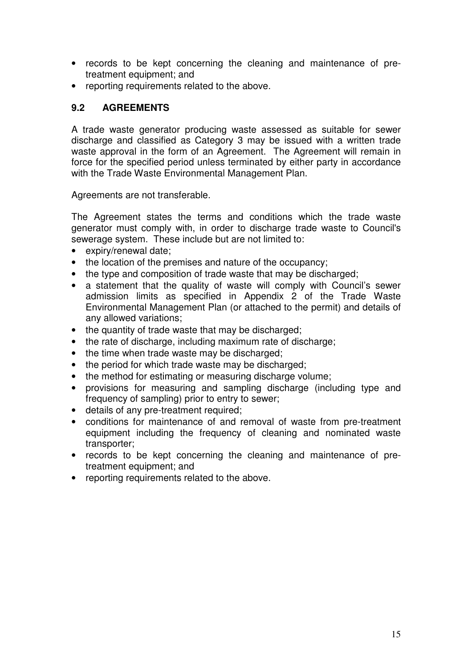- records to be kept concerning the cleaning and maintenance of pretreatment equipment; and
- reporting requirements related to the above.

### **9.2 AGREEMENTS**

A trade waste generator producing waste assessed as suitable for sewer discharge and classified as Category 3 may be issued with a written trade waste approval in the form of an Agreement. The Agreement will remain in force for the specified period unless terminated by either party in accordance with the Trade Waste Environmental Management Plan.

Agreements are not transferable.

The Agreement states the terms and conditions which the trade waste generator must comply with, in order to discharge trade waste to Council's sewerage system. These include but are not limited to:

- expiry/renewal date;
- the location of the premises and nature of the occupancy;
- the type and composition of trade waste that may be discharged;
- a statement that the quality of waste will comply with Council's sewer admission limits as specified in Appendix 2 of the Trade Waste Environmental Management Plan (or attached to the permit) and details of any allowed variations;
- the quantity of trade waste that may be discharged;
- the rate of discharge, including maximum rate of discharge;
- the time when trade waste may be discharged;
- the period for which trade waste may be discharged:
- the method for estimating or measuring discharge volume;
- provisions for measuring and sampling discharge (including type and frequency of sampling) prior to entry to sewer;
- details of any pre-treatment required;
- conditions for maintenance of and removal of waste from pre-treatment equipment including the frequency of cleaning and nominated waste transporter;
- records to be kept concerning the cleaning and maintenance of pretreatment equipment; and
- reporting requirements related to the above.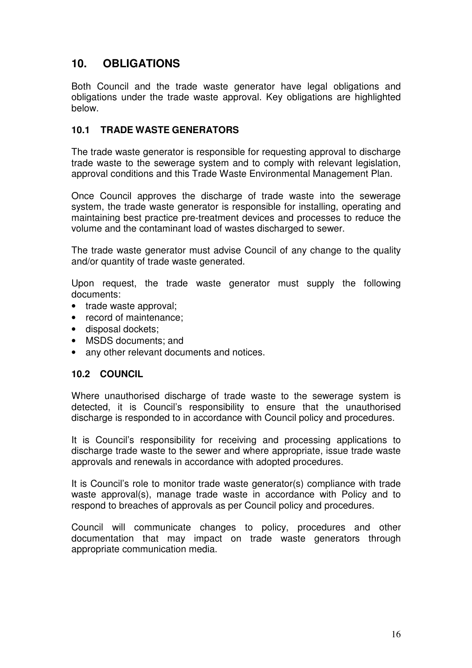## **10. OBLIGATIONS**

Both Council and the trade waste generator have legal obligations and obligations under the trade waste approval. Key obligations are highlighted below.

### **10.1 TRADE WASTE GENERATORS**

The trade waste generator is responsible for requesting approval to discharge trade waste to the sewerage system and to comply with relevant legislation, approval conditions and this Trade Waste Environmental Management Plan.

Once Council approves the discharge of trade waste into the sewerage system, the trade waste generator is responsible for installing, operating and maintaining best practice pre-treatment devices and processes to reduce the volume and the contaminant load of wastes discharged to sewer.

The trade waste generator must advise Council of any change to the quality and/or quantity of trade waste generated.

Upon request, the trade waste generator must supply the following documents:

- trade waste approval;
- record of maintenance:
- disposal dockets;
- MSDS documents; and
- any other relevant documents and notices.

### **10.2 COUNCIL**

Where unauthorised discharge of trade waste to the sewerage system is detected, it is Council's responsibility to ensure that the unauthorised discharge is responded to in accordance with Council policy and procedures.

It is Council's responsibility for receiving and processing applications to discharge trade waste to the sewer and where appropriate, issue trade waste approvals and renewals in accordance with adopted procedures.

It is Council's role to monitor trade waste generator(s) compliance with trade waste approval(s), manage trade waste in accordance with Policy and to respond to breaches of approvals as per Council policy and procedures.

Council will communicate changes to policy, procedures and other documentation that may impact on trade waste generators through appropriate communication media.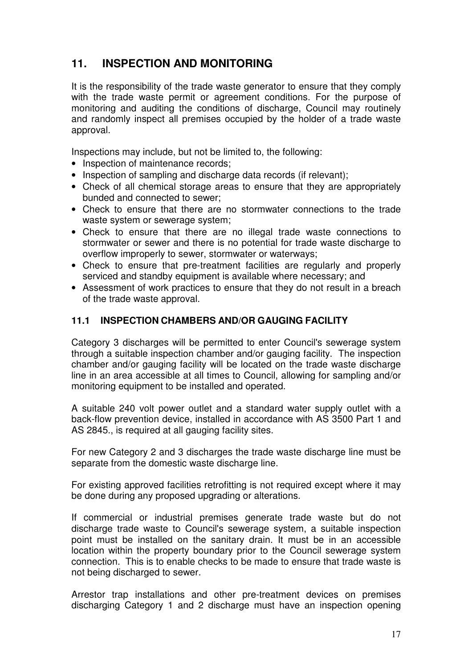## **11. INSPECTION AND MONITORING**

It is the responsibility of the trade waste generator to ensure that they comply with the trade waste permit or agreement conditions. For the purpose of monitoring and auditing the conditions of discharge, Council may routinely and randomly inspect all premises occupied by the holder of a trade waste approval.

Inspections may include, but not be limited to, the following:

- Inspection of maintenance records;
- Inspection of sampling and discharge data records (if relevant);
- Check of all chemical storage areas to ensure that they are appropriately bunded and connected to sewer;
- Check to ensure that there are no stormwater connections to the trade waste system or sewerage system;
- Check to ensure that there are no illegal trade waste connections to stormwater or sewer and there is no potential for trade waste discharge to overflow improperly to sewer, stormwater or waterways;
- Check to ensure that pre-treatment facilities are regularly and properly serviced and standby equipment is available where necessary; and
- Assessment of work practices to ensure that they do not result in a breach of the trade waste approval.

### **11.1 INSPECTION CHAMBERS AND/OR GAUGING FACILITY**

Category 3 discharges will be permitted to enter Council's sewerage system through a suitable inspection chamber and/or gauging facility. The inspection chamber and/or gauging facility will be located on the trade waste discharge line in an area accessible at all times to Council, allowing for sampling and/or monitoring equipment to be installed and operated.

A suitable 240 volt power outlet and a standard water supply outlet with a back-flow prevention device, installed in accordance with AS 3500 Part 1 and AS 2845., is required at all gauging facility sites.

For new Category 2 and 3 discharges the trade waste discharge line must be separate from the domestic waste discharge line.

For existing approved facilities retrofitting is not required except where it may be done during any proposed upgrading or alterations.

If commercial or industrial premises generate trade waste but do not discharge trade waste to Council's sewerage system, a suitable inspection point must be installed on the sanitary drain. It must be in an accessible location within the property boundary prior to the Council sewerage system connection. This is to enable checks to be made to ensure that trade waste is not being discharged to sewer.

Arrestor trap installations and other pre-treatment devices on premises discharging Category 1 and 2 discharge must have an inspection opening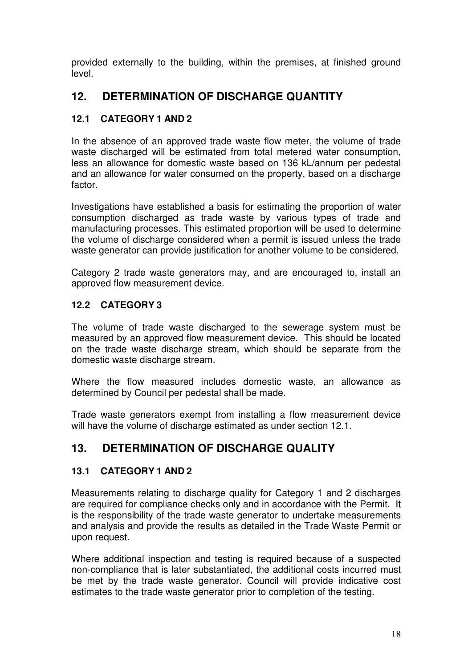provided externally to the building, within the premises, at finished ground level.

## **12. DETERMINATION OF DISCHARGE QUANTITY**

## **12.1 CATEGORY 1 AND 2**

In the absence of an approved trade waste flow meter, the volume of trade waste discharged will be estimated from total metered water consumption, less an allowance for domestic waste based on 136 kL/annum per pedestal and an allowance for water consumed on the property, based on a discharge factor.

Investigations have established a basis for estimating the proportion of water consumption discharged as trade waste by various types of trade and manufacturing processes. This estimated proportion will be used to determine the volume of discharge considered when a permit is issued unless the trade waste generator can provide justification for another volume to be considered.

Category 2 trade waste generators may, and are encouraged to, install an approved flow measurement device.

### **12.2 CATEGORY 3**

The volume of trade waste discharged to the sewerage system must be measured by an approved flow measurement device. This should be located on the trade waste discharge stream, which should be separate from the domestic waste discharge stream.

Where the flow measured includes domestic waste, an allowance as determined by Council per pedestal shall be made.

Trade waste generators exempt from installing a flow measurement device will have the volume of discharge estimated as under section 12.1.

## **13. DETERMINATION OF DISCHARGE QUALITY**

### **13.1 CATEGORY 1 AND 2**

Measurements relating to discharge quality for Category 1 and 2 discharges are required for compliance checks only and in accordance with the Permit. It is the responsibility of the trade waste generator to undertake measurements and analysis and provide the results as detailed in the Trade Waste Permit or upon request.

Where additional inspection and testing is required because of a suspected non-compliance that is later substantiated, the additional costs incurred must be met by the trade waste generator. Council will provide indicative cost estimates to the trade waste generator prior to completion of the testing.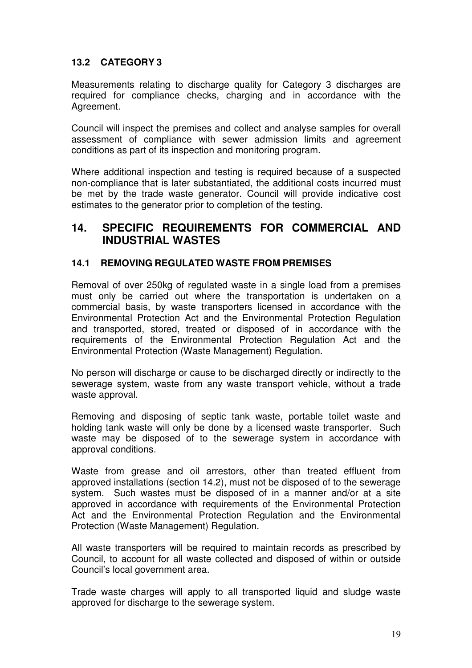## **13.2 CATEGORY 3**

Measurements relating to discharge quality for Category 3 discharges are required for compliance checks, charging and in accordance with the Agreement.

Council will inspect the premises and collect and analyse samples for overall assessment of compliance with sewer admission limits and agreement conditions as part of its inspection and monitoring program.

Where additional inspection and testing is required because of a suspected non-compliance that is later substantiated, the additional costs incurred must be met by the trade waste generator. Council will provide indicative cost estimates to the generator prior to completion of the testing.

## **14. SPECIFIC REQUIREMENTS FOR COMMERCIAL AND INDUSTRIAL WASTES**

#### **14.1 REMOVING REGULATED WASTE FROM PREMISES**

Removal of over 250kg of regulated waste in a single load from a premises must only be carried out where the transportation is undertaken on a commercial basis, by waste transporters licensed in accordance with the Environmental Protection Act and the Environmental Protection Regulation and transported, stored, treated or disposed of in accordance with the requirements of the Environmental Protection Regulation Act and the Environmental Protection (Waste Management) Regulation.

No person will discharge or cause to be discharged directly or indirectly to the sewerage system, waste from any waste transport vehicle, without a trade waste approval.

Removing and disposing of septic tank waste, portable toilet waste and holding tank waste will only be done by a licensed waste transporter. Such waste may be disposed of to the sewerage system in accordance with approval conditions.

Waste from grease and oil arrestors, other than treated effluent from approved installations (section 14.2), must not be disposed of to the sewerage system. Such wastes must be disposed of in a manner and/or at a site approved in accordance with requirements of the Environmental Protection Act and the Environmental Protection Regulation and the Environmental Protection (Waste Management) Regulation.

All waste transporters will be required to maintain records as prescribed by Council, to account for all waste collected and disposed of within or outside Council's local government area.

Trade waste charges will apply to all transported liquid and sludge waste approved for discharge to the sewerage system.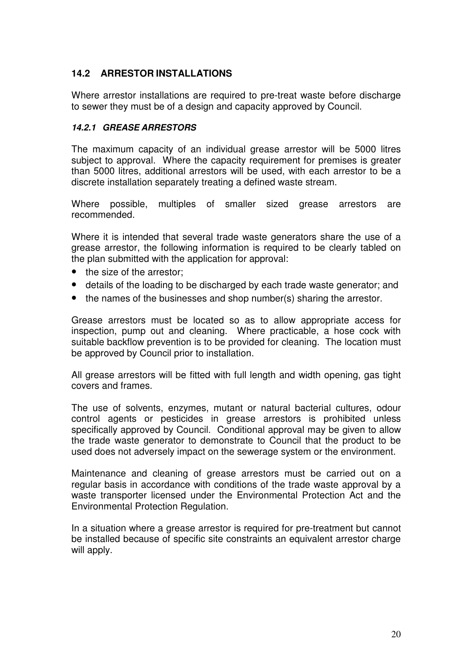### **14.2 ARRESTOR INSTALLATIONS**

Where arrestor installations are required to pre-treat waste before discharge to sewer they must be of a design and capacity approved by Council.

#### **14.2.1 GREASE ARRESTORS**

The maximum capacity of an individual grease arrestor will be 5000 litres subject to approval. Where the capacity requirement for premises is greater than 5000 litres, additional arrestors will be used, with each arrestor to be a discrete installation separately treating a defined waste stream.

Where possible, multiples of smaller sized grease arrestors are recommended.

Where it is intended that several trade waste generators share the use of a grease arrestor, the following information is required to be clearly tabled on the plan submitted with the application for approval:

- the size of the arrestor;
- details of the loading to be discharged by each trade waste generator; and
- the names of the businesses and shop number(s) sharing the arrestor.

Grease arrestors must be located so as to allow appropriate access for inspection, pump out and cleaning. Where practicable, a hose cock with suitable backflow prevention is to be provided for cleaning. The location must be approved by Council prior to installation.

All grease arrestors will be fitted with full length and width opening, gas tight covers and frames.

The use of solvents, enzymes, mutant or natural bacterial cultures, odour control agents or pesticides in grease arrestors is prohibited unless specifically approved by Council. Conditional approval may be given to allow the trade waste generator to demonstrate to Council that the product to be used does not adversely impact on the sewerage system or the environment.

Maintenance and cleaning of grease arrestors must be carried out on a regular basis in accordance with conditions of the trade waste approval by a waste transporter licensed under the Environmental Protection Act and the Environmental Protection Regulation.

In a situation where a grease arrestor is required for pre-treatment but cannot be installed because of specific site constraints an equivalent arrestor charge will apply.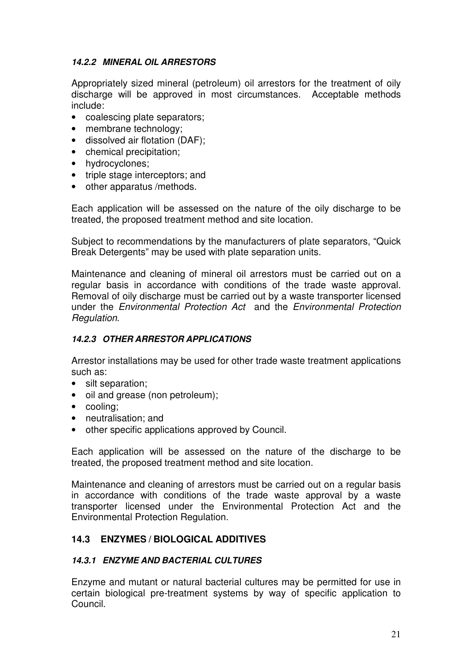#### **14.2.2 MINERAL OIL ARRESTORS**

Appropriately sized mineral (petroleum) oil arrestors for the treatment of oily discharge will be approved in most circumstances. Acceptable methods include:

- coalescing plate separators;
- membrane technology;
- dissolved air flotation (DAF):
- chemical precipitation;
- hydrocyclones;
- triple stage interceptors; and
- other apparatus /methods.

Each application will be assessed on the nature of the oily discharge to be treated, the proposed treatment method and site location.

Subject to recommendations by the manufacturers of plate separators, "Quick Break Detergents" may be used with plate separation units.

Maintenance and cleaning of mineral oil arrestors must be carried out on a regular basis in accordance with conditions of the trade waste approval. Removal of oily discharge must be carried out by a waste transporter licensed under the Environmental Protection Act and the Environmental Protection Regulation.

#### **14.2.3 OTHER ARRESTOR APPLICATIONS**

Arrestor installations may be used for other trade waste treatment applications such as:

- silt separation;
- oil and grease (non petroleum);
- cooling;
- neutralisation; and
- other specific applications approved by Council.

Each application will be assessed on the nature of the discharge to be treated, the proposed treatment method and site location.

Maintenance and cleaning of arrestors must be carried out on a regular basis in accordance with conditions of the trade waste approval by a waste transporter licensed under the Environmental Protection Act and the Environmental Protection Regulation.

### **14.3 ENZYMES / BIOLOGICAL ADDITIVES**

#### **14.3.1 ENZYME AND BACTERIAL CULTURES**

Enzyme and mutant or natural bacterial cultures may be permitted for use in certain biological pre-treatment systems by way of specific application to Council.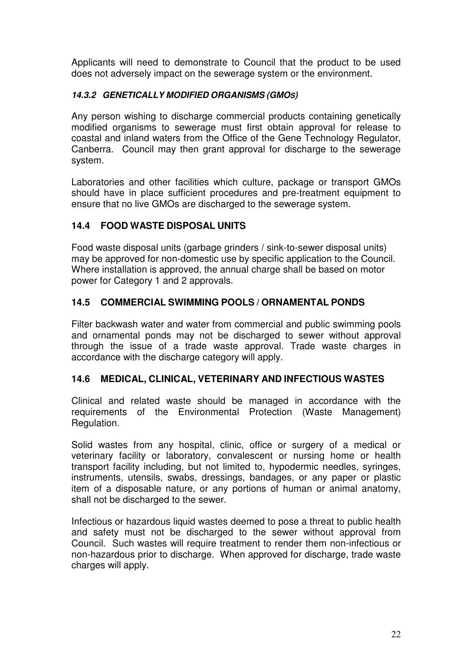Applicants will need to demonstrate to Council that the product to be used does not adversely impact on the sewerage system or the environment.

### **14.3.2 GENETICALLY MODIFIED ORGANISMS (GMOS)**

Any person wishing to discharge commercial products containing genetically modified organisms to sewerage must first obtain approval for release to coastal and inland waters from the Office of the Gene Technology Regulator, Canberra. Council may then grant approval for discharge to the sewerage system.

Laboratories and other facilities which culture, package or transport GMOs should have in place sufficient procedures and pre-treatment equipment to ensure that no live GMOs are discharged to the sewerage system.

### **14.4 FOOD WASTE DISPOSAL UNITS**

Food waste disposal units (garbage grinders / sink-to-sewer disposal units) may be approved for non-domestic use by specific application to the Council. Where installation is approved, the annual charge shall be based on motor power for Category 1 and 2 approvals.

### **14.5 COMMERCIAL SWIMMING POOLS / ORNAMENTAL PONDS**

Filter backwash water and water from commercial and public swimming pools and ornamental ponds may not be discharged to sewer without approval through the issue of a trade waste approval. Trade waste charges in accordance with the discharge category will apply.

### **14.6 MEDICAL, CLINICAL, VETERINARY AND INFECTIOUS WASTES**

Clinical and related waste should be managed in accordance with the requirements of the Environmental Protection (Waste Management) Regulation.

Solid wastes from any hospital, clinic, office or surgery of a medical or veterinary facility or laboratory, convalescent or nursing home or health transport facility including, but not limited to, hypodermic needles, syringes, instruments, utensils, swabs, dressings, bandages, or any paper or plastic item of a disposable nature, or any portions of human or animal anatomy, shall not be discharged to the sewer.

Infectious or hazardous liquid wastes deemed to pose a threat to public health and safety must not be discharged to the sewer without approval from Council. Such wastes will require treatment to render them non-infectious or non-hazardous prior to discharge. When approved for discharge, trade waste charges will apply.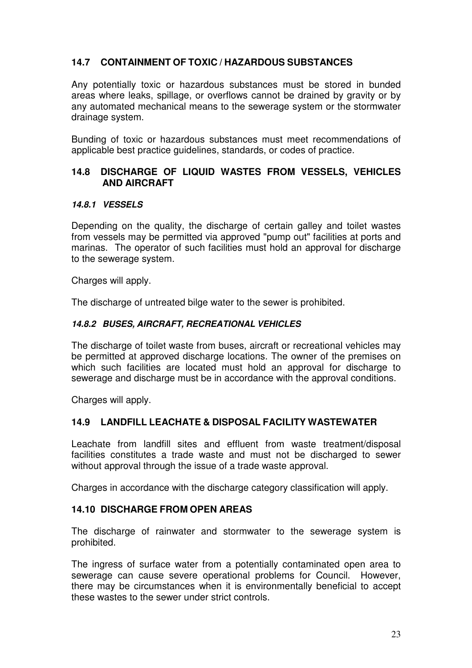### **14.7 CONTAINMENT OF TOXIC / HAZARDOUS SUBSTANCES**

Any potentially toxic or hazardous substances must be stored in bunded areas where leaks, spillage, or overflows cannot be drained by gravity or by any automated mechanical means to the sewerage system or the stormwater drainage system.

Bunding of toxic or hazardous substances must meet recommendations of applicable best practice guidelines, standards, or codes of practice.

#### **14.8 DISCHARGE OF LIQUID WASTES FROM VESSELS, VEHICLES AND AIRCRAFT**

#### **14.8.1 VESSELS**

Depending on the quality, the discharge of certain galley and toilet wastes from vessels may be permitted via approved "pump out" facilities at ports and marinas. The operator of such facilities must hold an approval for discharge to the sewerage system.

Charges will apply.

The discharge of untreated bilge water to the sewer is prohibited.

#### **14.8.2 BUSES, AIRCRAFT, RECREATIONAL VEHICLES**

The discharge of toilet waste from buses, aircraft or recreational vehicles may be permitted at approved discharge locations. The owner of the premises on which such facilities are located must hold an approval for discharge to sewerage and discharge must be in accordance with the approval conditions.

Charges will apply.

#### **14.9 LANDFILL LEACHATE & DISPOSAL FACILITY WASTEWATER**

Leachate from landfill sites and effluent from waste treatment/disposal facilities constitutes a trade waste and must not be discharged to sewer without approval through the issue of a trade waste approval.

Charges in accordance with the discharge category classification will apply.

#### **14.10 DISCHARGE FROM OPEN AREAS**

The discharge of rainwater and stormwater to the sewerage system is prohibited.

The ingress of surface water from a potentially contaminated open area to sewerage can cause severe operational problems for Council. However, there may be circumstances when it is environmentally beneficial to accept these wastes to the sewer under strict controls.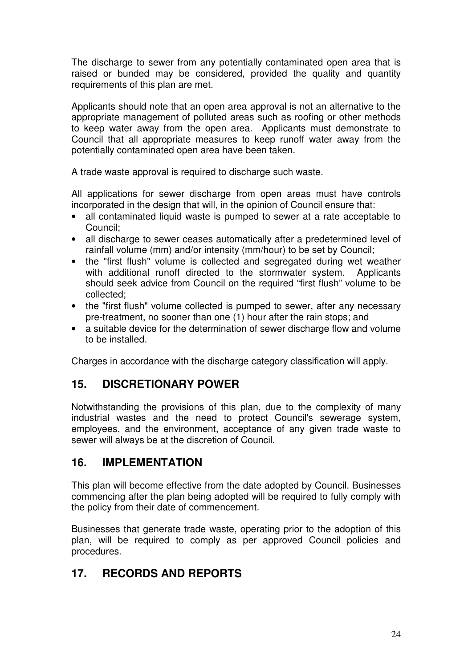The discharge to sewer from any potentially contaminated open area that is raised or bunded may be considered, provided the quality and quantity requirements of this plan are met.

Applicants should note that an open area approval is not an alternative to the appropriate management of polluted areas such as roofing or other methods to keep water away from the open area. Applicants must demonstrate to Council that all appropriate measures to keep runoff water away from the potentially contaminated open area have been taken.

A trade waste approval is required to discharge such waste.

All applications for sewer discharge from open areas must have controls incorporated in the design that will, in the opinion of Council ensure that:

- all contaminated liquid waste is pumped to sewer at a rate acceptable to Council;
- all discharge to sewer ceases automatically after a predetermined level of rainfall volume (mm) and/or intensity (mm/hour) to be set by Council;
- the "first flush" volume is collected and segregated during wet weather with additional runoff directed to the stormwater system. Applicants should seek advice from Council on the required "first flush" volume to be collected;
- the "first flush" volume collected is pumped to sewer, after any necessary pre-treatment, no sooner than one (1) hour after the rain stops; and
- a suitable device for the determination of sewer discharge flow and volume to be installed.

Charges in accordance with the discharge category classification will apply.

## **15. DISCRETIONARY POWER**

Notwithstanding the provisions of this plan, due to the complexity of many industrial wastes and the need to protect Council's sewerage system, employees, and the environment, acceptance of any given trade waste to sewer will always be at the discretion of Council.

## **16. IMPLEMENTATION**

This plan will become effective from the date adopted by Council. Businesses commencing after the plan being adopted will be required to fully comply with the policy from their date of commencement.

Businesses that generate trade waste, operating prior to the adoption of this plan, will be required to comply as per approved Council policies and procedures.

## **17. RECORDS AND REPORTS**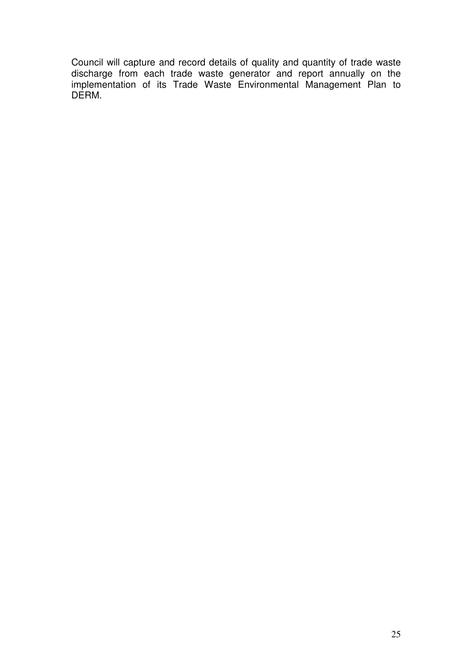Council will capture and record details of quality and quantity of trade waste discharge from each trade waste generator and report annually on the implementation of its Trade Waste Environmental Management Plan to DERM.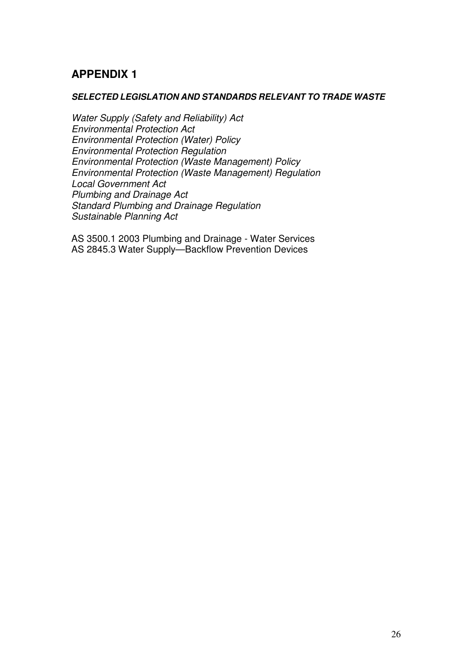## **APPENDIX 1**

#### **SELECTED LEGISLATION AND STANDARDS RELEVANT TO TRADE WASTE**

Water Supply (Safety and Reliability) Act Environmental Protection Act Environmental Protection (Water) Policy Environmental Protection Regulation Environmental Protection (Waste Management) Policy Environmental Protection (Waste Management) Regulation Local Government Act Plumbing and Drainage Act Standard Plumbing and Drainage Regulation Sustainable Planning Act

AS 3500.1 2003 Plumbing and Drainage - Water Services AS 2845.3 Water Supply—Backflow Prevention Devices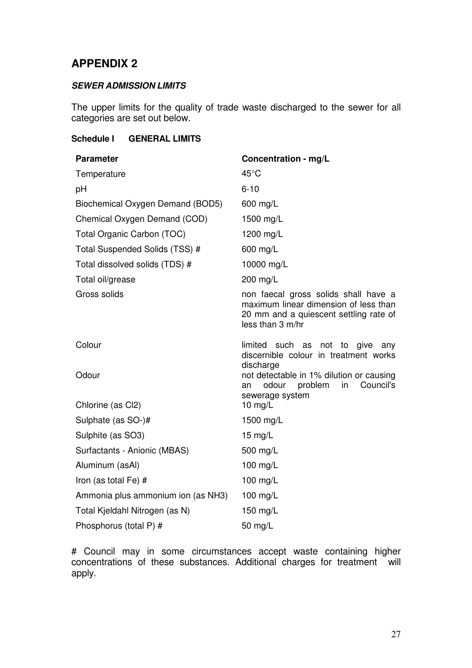## **APPENDIX 2**

#### **SEWER ADMISSION LIMITS**

The upper limits for the quality of trade waste discharged to the sewer for all categories are set out below.

#### **Schedule I GENERAL LIMITS**

| <b>Parameter</b>                   | Concentration - mg/L                                                                                                                        |
|------------------------------------|---------------------------------------------------------------------------------------------------------------------------------------------|
| Temperature                        | $45^{\circ}$ C                                                                                                                              |
| pH                                 | $6 - 10$                                                                                                                                    |
| Biochemical Oxygen Demand (BOD5)   | 600 mg/L                                                                                                                                    |
| Chemical Oxygen Demand (COD)       | 1500 mg/L                                                                                                                                   |
| Total Organic Carbon (TOC)         | 1200 mg/L                                                                                                                                   |
| Total Suspended Solids (TSS) #     | 600 mg/L                                                                                                                                    |
| Total dissolved solids (TDS) #     | 10000 mg/L                                                                                                                                  |
| Total oil/grease                   | 200 mg/L                                                                                                                                    |
| Gross solids                       | non faecal gross solids shall have a<br>maximum linear dimension of less than<br>20 mm and a quiescent settling rate of<br>less than 3 m/hr |
| Colour                             | limited such as<br>not to give<br>anv<br>discernible colour in treatment works                                                              |
| Odour                              | discharge<br>not detectable in 1% dilution or causing<br>odour<br>problem<br>Council's<br>in<br>an                                          |
| Chlorine (as Cl2)                  | sewerage system<br>$10$ mg/L                                                                                                                |
| Sulphate (as SO-)#                 | 1500 mg/L                                                                                                                                   |
| Sulphite (as SO3)                  | 15 $mg/L$                                                                                                                                   |
| Surfactants - Anionic (MBAS)       | 500 mg/L                                                                                                                                    |
| Aluminum (asAl)                    | 100 mg/L                                                                                                                                    |
| Iron (as total Fe) #               | 100 mg/L                                                                                                                                    |
| Ammonia plus ammonium ion (as NH3) | 100 mg/L                                                                                                                                    |
| Total Kjeldahl Nitrogen (as N)     | 150 mg/L                                                                                                                                    |
| Phosphorus (total P) #             | 50 mg/ $L$                                                                                                                                  |

# Council may in some circumstances accept waste containing higher concentrations of these substances. Additional charges for treatment will apply.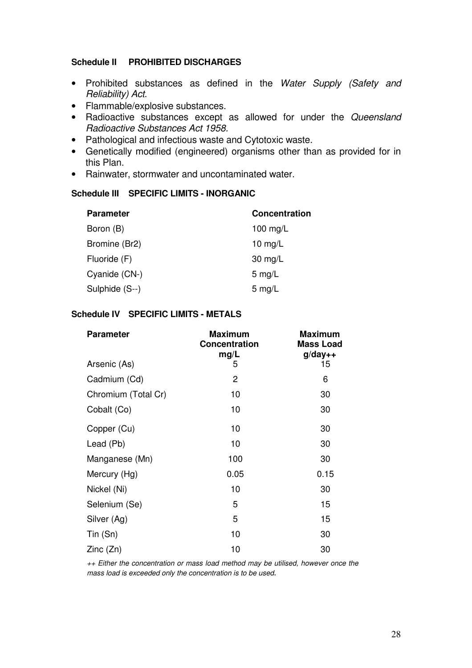#### **Schedule II PROHIBITED DISCHARGES**

- Prohibited substances as defined in the Water Supply (Safety and Reliability) Act.
- Flammable/explosive substances.
- Radioactive substances except as allowed for under the Queensland Radioactive Substances Act 1958.
- Pathological and infectious waste and Cytotoxic waste.
- Genetically modified (engineered) organisms other than as provided for in this Plan.
- Rainwater, stormwater and uncontaminated water.

#### **Schedule III SPECIFIC LIMITS - INORGANIC**

| <b>Parameter</b> | <b>Concentration</b> |
|------------------|----------------------|
| Boron (B)        | 100 mg/L             |
| Bromine (Br2)    | 10 mg/ $L$           |
| Fluoride (F)     | $30 \text{ mg/L}$    |
| Cyanide (CN-)    | $5 \text{ mg/L}$     |
| Sulphide (S--)   | $5 \text{ mg/L}$     |

#### **Schedule IV SPECIFIC LIMITS - METALS**

| <b>Parameter</b>    | <b>Maximum</b><br><b>Concentration</b><br>mg/L | <b>Maximum</b><br><b>Mass Load</b><br>$g$ /day++ |
|---------------------|------------------------------------------------|--------------------------------------------------|
| Arsenic (As)        | 5                                              | 15                                               |
| Cadmium (Cd)        | 2                                              | 6                                                |
| Chromium (Total Cr) | 10                                             | 30                                               |
| Cobalt (Co)         | 10                                             | 30                                               |
| Copper (Cu)         | 10                                             | 30                                               |
| Lead (Pb)           | 10                                             | 30                                               |
| Manganese (Mn)      | 100                                            | 30                                               |
| Mercury (Hg)        | 0.05                                           | 0.15                                             |
| Nickel (Ni)         | 10                                             | 30                                               |
| Selenium (Se)       | 5                                              | 15                                               |
| Silver (Ag)         | 5                                              | 15                                               |
| Tin (Sn)            | 10                                             | 30                                               |
| Zinc(Zn)            | 10                                             | 30                                               |

++ Either the concentration or mass load method may be utilised, however once the mass load is exceeded only the concentration is to be used.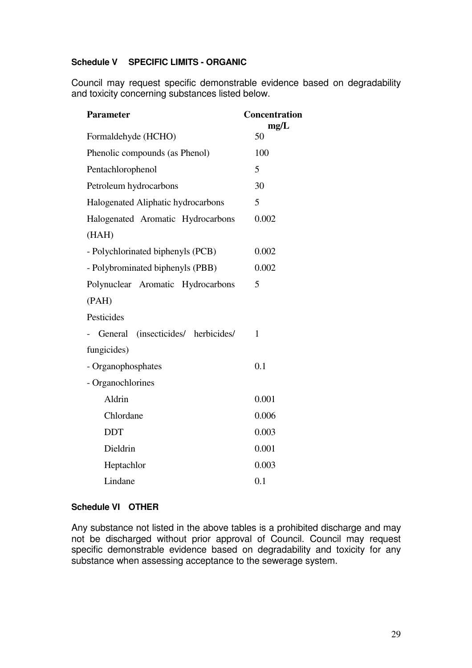#### **Schedule V SPECIFIC LIMITS - ORGANIC**

 Council may request specific demonstrable evidence based on degradability and toxicity concerning substances listed below.

| <b>Parameter</b>                   | Concentration<br>mg/L |
|------------------------------------|-----------------------|
| Formaldehyde (HCHO)                | 50                    |
| Phenolic compounds (as Phenol)     | 100                   |
| Pentachlorophenol                  | 5                     |
| Petroleum hydrocarbons             | 30                    |
| Halogenated Aliphatic hydrocarbons | 5                     |
| Halogenated Aromatic Hydrocarbons  | 0.002                 |
| (HAH)                              |                       |
| - Polychlorinated biphenyls (PCB)  | 0.002                 |
| - Polybrominated biphenyls (PBB)   | 0.002                 |
| Polynuclear Aromatic Hydrocarbons  | 5                     |
| (PAH)                              |                       |
| Pesticides                         |                       |
| General (insecticides/ herbicides/ | 1                     |
| fungicides)                        |                       |
| - Organophosphates                 | 0.1                   |
| - Organochlorines                  |                       |
| Aldrin                             | 0.001                 |
| Chlordane                          | 0.006                 |
| <b>DDT</b>                         | 0.003                 |
| Dieldrin                           | 0.001                 |
| Heptachlor                         | 0.003                 |
| Lindane                            | 0.1                   |

#### **Schedule VI OTHER**

Any substance not listed in the above tables is a prohibited discharge and may not be discharged without prior approval of Council. Council may request specific demonstrable evidence based on degradability and toxicity for any substance when assessing acceptance to the sewerage system.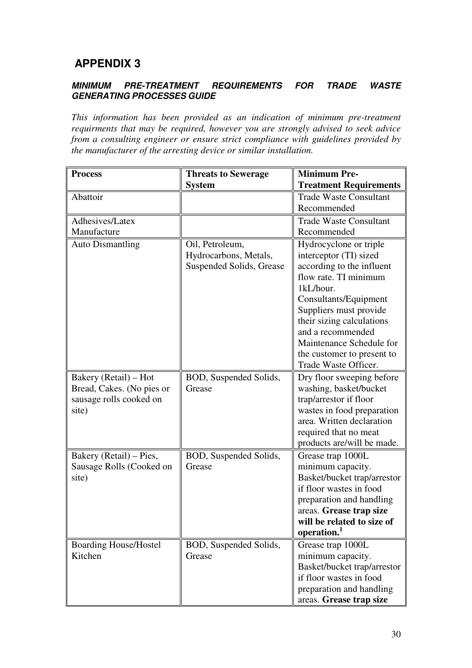## **APPENDIX 3**

#### **MINIMUM PRE-TREATMENT REQUIREMENTS FOR TRADE WASTE GENERATING PROCESSES GUIDE**

*This information has been provided as an indication of minimum pre-treatment requirments that may be required, however you are strongly advised to seek advice from a consulting engineer or ensure strict compliance with guidelines provided by the manufacturer of the arresting device or similar installation.* 

| <b>Process</b>               | <b>Threats to Sewerage</b> | <b>Minimum Pre-</b>           |
|------------------------------|----------------------------|-------------------------------|
|                              | <b>System</b>              | <b>Treatment Requirements</b> |
| Abattoir                     |                            | <b>Trade Waste Consultant</b> |
|                              |                            | Recommended                   |
| Adhesives/Latex              |                            | <b>Trade Waste Consultant</b> |
| Manufacture                  |                            | Recommended                   |
| <b>Auto Dismantling</b>      | Oil, Petroleum,            | Hydrocyclone or triple        |
|                              | Hydrocarbons, Metals,      | interceptor (TI) sized        |
|                              | Suspended Solids, Grease   | according to the influent     |
|                              |                            | flow rate. TI minimum         |
|                              |                            | 1kL/hour.                     |
|                              |                            | Consultants/Equipment         |
|                              |                            | Suppliers must provide        |
|                              |                            | their sizing calculations     |
|                              |                            | and a recommended             |
|                              |                            | Maintenance Schedule for      |
|                              |                            | the customer to present to    |
|                              |                            | Trade Waste Officer.          |
| Bakery (Retail) – Hot        | BOD, Suspended Solids,     | Dry floor sweeping before     |
| Bread, Cakes. (No pies or    | Grease                     | washing, basket/bucket        |
| sausage rolls cooked on      |                            | trap/arrestor if floor        |
| site)                        |                            | wastes in food preparation    |
|                              |                            | area. Written declaration     |
|                              |                            | required that no meat         |
|                              |                            | products are/will be made.    |
| Bakery (Retail) – Pies,      | BOD, Suspended Solids,     | Grease trap 1000L             |
| Sausage Rolls (Cooked on     | Grease                     | minimum capacity.             |
| site)                        |                            | Basket/bucket trap/arrestor   |
|                              |                            | if floor wastes in food       |
|                              |                            | preparation and handling      |
|                              |                            | areas. Grease trap size       |
|                              |                            | will be related to size of    |
|                              |                            | operation.                    |
| <b>Boarding House/Hostel</b> | BOD, Suspended Solids,     | Grease trap 1000L             |
| Kitchen                      | Grease                     | minimum capacity.             |
|                              |                            | Basket/bucket trap/arrestor   |
|                              |                            | if floor wastes in food       |
|                              |                            | preparation and handling      |
|                              |                            | areas. Grease trap size       |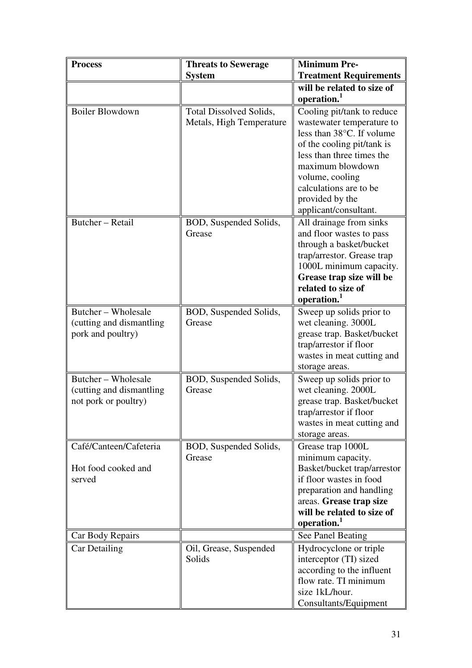| <b>Process</b>                                                           | <b>Threats to Sewerage</b>                                 | <b>Minimum Pre-</b>                                                                                                                                                                                     |
|--------------------------------------------------------------------------|------------------------------------------------------------|---------------------------------------------------------------------------------------------------------------------------------------------------------------------------------------------------------|
|                                                                          | <b>System</b>                                              | <b>Treatment Requirements</b>                                                                                                                                                                           |
|                                                                          |                                                            | will be related to size of                                                                                                                                                                              |
|                                                                          |                                                            | operation.                                                                                                                                                                                              |
| <b>Boiler Blowdown</b>                                                   | <b>Total Dissolved Solids,</b><br>Metals, High Temperature | Cooling pit/tank to reduce<br>wastewater temperature to<br>less than 38°C. If volume                                                                                                                    |
|                                                                          |                                                            | of the cooling pit/tank is<br>less than three times the<br>maximum blowdown<br>volume, cooling                                                                                                          |
|                                                                          |                                                            | calculations are to be<br>provided by the<br>applicant/consultant.                                                                                                                                      |
| Butcher - Retail                                                         | BOD, Suspended Solids,<br>Grease                           | All drainage from sinks<br>and floor wastes to pass<br>through a basket/bucket<br>trap/arrestor. Grease trap<br>1000L minimum capacity.<br>Grease trap size will be<br>related to size of<br>operation. |
| Butcher – Wholesale<br>(cutting and dismantling)<br>pork and poultry)    | BOD, Suspended Solids,<br>Grease                           | Sweep up solids prior to<br>wet cleaning. 3000L<br>grease trap. Basket/bucket<br>trap/arrestor if floor<br>wastes in meat cutting and<br>storage areas.                                                 |
| Butcher – Wholesale<br>(cutting and dismantling)<br>not pork or poultry) | BOD, Suspended Solids,<br>Grease                           | Sweep up solids prior to<br>wet cleaning. 2000L<br>grease trap. Basket/bucket<br>trap/arrestor if floor<br>wastes in meat cutting and<br>storage areas.                                                 |
| Café/Canteen/Cafeteria<br>Hot food cooked and<br>served                  | BOD, Suspended Solids,<br>Grease                           | Grease trap 1000L<br>minimum capacity.<br>Basket/bucket trap/arrestor<br>if floor wastes in food                                                                                                        |
|                                                                          |                                                            | preparation and handling<br>areas. Grease trap size<br>will be related to size of<br>operation. <sup>1</sup>                                                                                            |
| Car Body Repairs                                                         |                                                            | See Panel Beating                                                                                                                                                                                       |
| Car Detailing                                                            | Oil, Grease, Suspended<br>Solids                           | Hydrocyclone or triple<br>interceptor (TI) sized<br>according to the influent<br>flow rate. TI minimum<br>size 1kL/hour.<br>Consultants/Equipment                                                       |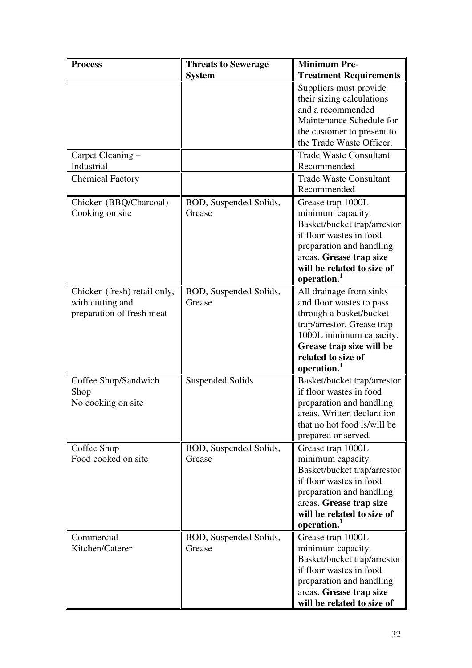| <b>Process</b>                                                                | <b>Threats to Sewerage</b>       | <b>Minimum Pre-</b>                                                                                                                                                                                                  |
|-------------------------------------------------------------------------------|----------------------------------|----------------------------------------------------------------------------------------------------------------------------------------------------------------------------------------------------------------------|
|                                                                               | <b>System</b>                    | <b>Treatment Requirements</b>                                                                                                                                                                                        |
|                                                                               |                                  | Suppliers must provide<br>their sizing calculations<br>and a recommended<br>Maintenance Schedule for<br>the customer to present to<br>the Trade Waste Officer.                                                       |
| Carpet Cleaning -                                                             |                                  | <b>Trade Waste Consultant</b>                                                                                                                                                                                        |
| Industrial                                                                    |                                  | Recommended                                                                                                                                                                                                          |
| <b>Chemical Factory</b>                                                       |                                  | <b>Trade Waste Consultant</b><br>Recommended                                                                                                                                                                         |
| Chicken (BBQ/Charcoal)                                                        | BOD, Suspended Solids,           | Grease trap 1000L                                                                                                                                                                                                    |
| Cooking on site                                                               | Grease                           | minimum capacity.<br>Basket/bucket trap/arrestor<br>if floor wastes in food<br>preparation and handling<br>areas. Grease trap size<br>will be related to size of<br>operation.                                       |
| Chicken (fresh) retail only,<br>with cutting and<br>preparation of fresh meat | BOD, Suspended Solids,<br>Grease | All drainage from sinks<br>and floor wastes to pass<br>through a basket/bucket<br>trap/arrestor. Grease trap<br>1000L minimum capacity.<br>Grease trap size will be<br>related to size of<br>operation. <sup>1</sup> |
| Coffee Shop/Sandwich<br>Shop<br>No cooking on site                            | <b>Suspended Solids</b>          | Basket/bucket trap/arrestor<br>if floor wastes in food<br>preparation and handling<br>areas. Written declaration<br>that no hot food is/will be                                                                      |
|                                                                               |                                  | prepared or served.                                                                                                                                                                                                  |
| Coffee Shop<br>Food cooked on site                                            | BOD, Suspended Solids,<br>Grease | Grease trap 1000L<br>minimum capacity.<br>Basket/bucket trap/arrestor<br>if floor wastes in food<br>preparation and handling<br>areas. Grease trap size<br>will be related to size of<br>operation.                  |
| Commercial                                                                    | BOD, Suspended Solids,           | Grease trap 1000L                                                                                                                                                                                                    |
| Kitchen/Caterer                                                               | Grease                           | minimum capacity.<br>Basket/bucket trap/arrestor<br>if floor wastes in food<br>preparation and handling<br>areas. Grease trap size<br>will be related to size of                                                     |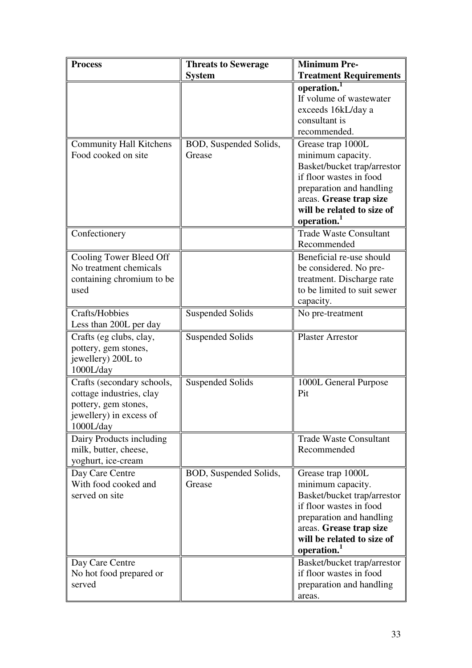| <b>Process</b>                                                                                                         | <b>Threats to Sewerage</b>       | <b>Minimum Pre-</b>                                                                                                                                                                                 |
|------------------------------------------------------------------------------------------------------------------------|----------------------------------|-----------------------------------------------------------------------------------------------------------------------------------------------------------------------------------------------------|
|                                                                                                                        | <b>System</b>                    | <b>Treatment Requirements</b>                                                                                                                                                                       |
|                                                                                                                        |                                  | operation.<br>If volume of wastewater<br>exceeds 16kL/day a<br>consultant is<br>recommended.                                                                                                        |
| <b>Community Hall Kitchens</b><br>Food cooked on site                                                                  | BOD, Suspended Solids,<br>Grease | Grease trap 1000L<br>minimum capacity.<br>Basket/bucket trap/arrestor<br>if floor wastes in food<br>preparation and handling<br>areas. Grease trap size<br>will be related to size of<br>operation. |
| Confectionery                                                                                                          |                                  | <b>Trade Waste Consultant</b><br>Recommended                                                                                                                                                        |
| Cooling Tower Bleed Off<br>No treatment chemicals<br>containing chromium to be<br>used                                 |                                  | Beneficial re-use should<br>be considered. No pre-<br>treatment. Discharge rate<br>to be limited to suit sewer<br>capacity.                                                                         |
| Crafts/Hobbies<br>Less than 200L per day                                                                               | <b>Suspended Solids</b>          | No pre-treatment                                                                                                                                                                                    |
| Crafts (eg clubs, clay,<br>pottery, gem stones,<br>jewellery) 200L to<br>1000L/day                                     | <b>Suspended Solids</b>          | <b>Plaster Arrestor</b>                                                                                                                                                                             |
| Crafts (secondary schools,<br>cottage industries, clay<br>pottery, gem stones,<br>jewellery) in excess of<br>1000L/day | <b>Suspended Solids</b>          | 1000L General Purpose<br>Pit                                                                                                                                                                        |
| Dairy Products including<br>milk, butter, cheese,<br>yoghurt, ice-cream                                                |                                  | <b>Trade Waste Consultant</b><br>Recommended                                                                                                                                                        |
| Day Care Centre<br>With food cooked and<br>served on site                                                              | BOD, Suspended Solids,<br>Grease | Grease trap 1000L<br>minimum capacity.<br>Basket/bucket trap/arrestor<br>if floor wastes in food<br>preparation and handling<br>areas. Grease trap size<br>will be related to size of<br>operation. |
| Day Care Centre<br>No hot food prepared or<br>served                                                                   |                                  | Basket/bucket trap/arrestor<br>if floor wastes in food<br>preparation and handling<br>areas.                                                                                                        |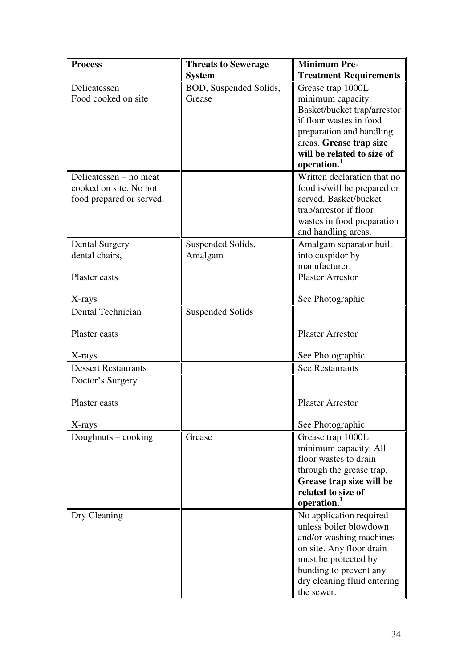| <b>Process</b>             | <b>Threats to Sewerage</b> | <b>Minimum Pre-</b>                                   |
|----------------------------|----------------------------|-------------------------------------------------------|
|                            | <b>System</b>              | <b>Treatment Requirements</b>                         |
| Delicatessen               | BOD, Suspended Solids,     | Grease trap 1000L                                     |
| Food cooked on site        | Grease                     | minimum capacity.                                     |
|                            |                            | Basket/bucket trap/arrestor                           |
|                            |                            | if floor wastes in food                               |
|                            |                            | preparation and handling                              |
|                            |                            | areas. Grease trap size                               |
|                            |                            | will be related to size of<br>operation. <sup>1</sup> |
| Delicatessen – no meat     |                            | Written declaration that no                           |
| cooked on site. No hot     |                            | food is/will be prepared or                           |
| food prepared or served.   |                            | served. Basket/bucket                                 |
|                            |                            | trap/arrestor if floor                                |
|                            |                            | wastes in food preparation                            |
|                            |                            | and handling areas.                                   |
| <b>Dental Surgery</b>      | Suspended Solids,          | Amalgam separator built                               |
| dental chairs,             | Amalgam                    | into cuspidor by                                      |
|                            |                            | manufacturer.                                         |
| Plaster casts              |                            | <b>Plaster Arrestor</b>                               |
| X-rays                     |                            | See Photographic                                      |
| <b>Dental Technician</b>   | <b>Suspended Solids</b>    |                                                       |
|                            |                            |                                                       |
| Plaster casts              |                            | <b>Plaster Arrestor</b>                               |
| X-rays                     |                            | See Photographic                                      |
| <b>Dessert Restaurants</b> |                            | <b>See Restaurants</b>                                |
| Doctor's Surgery           |                            |                                                       |
| Plaster casts              |                            | <b>Plaster Arrestor</b>                               |
| X-rays                     |                            | See Photographic                                      |
| Doughnuts – cooking        | Grease                     | Grease trap 1000L                                     |
|                            |                            | minimum capacity. All                                 |
|                            |                            | floor wastes to drain                                 |
|                            |                            | through the grease trap.                              |
|                            |                            | Grease trap size will be                              |
|                            |                            | related to size of                                    |
|                            |                            | operation.                                            |
| Dry Cleaning               |                            | No application required                               |
|                            |                            | unless boiler blowdown                                |
|                            |                            | and/or washing machines                               |
|                            |                            | on site. Any floor drain                              |
|                            |                            | must be protected by                                  |
|                            |                            | bunding to prevent any<br>dry cleaning fluid entering |
|                            |                            | the sewer.                                            |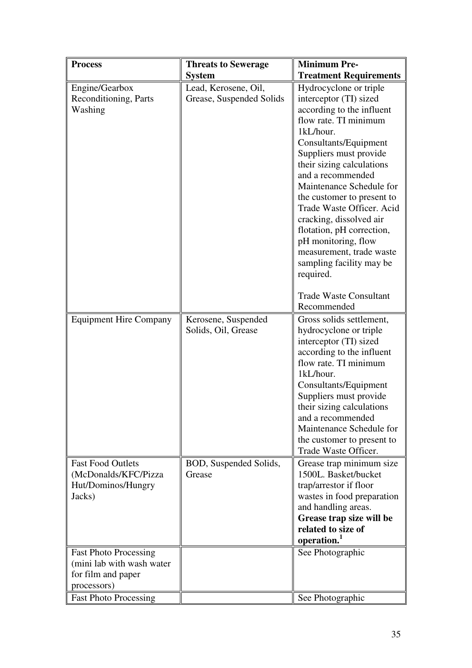| <b>Process</b>                                                                   | <b>Threats to Sewerage</b>                       | <b>Minimum Pre-</b>                                                                                                                                                                                                                                                                                                                                                                                                                                                                                  |
|----------------------------------------------------------------------------------|--------------------------------------------------|------------------------------------------------------------------------------------------------------------------------------------------------------------------------------------------------------------------------------------------------------------------------------------------------------------------------------------------------------------------------------------------------------------------------------------------------------------------------------------------------------|
|                                                                                  | <b>System</b>                                    | <b>Treatment Requirements</b>                                                                                                                                                                                                                                                                                                                                                                                                                                                                        |
| Engine/Gearbox<br>Reconditioning, Parts<br>Washing                               | Lead, Kerosene, Oil,<br>Grease, Suspended Solids | Hydrocyclone or triple<br>interceptor (TI) sized<br>according to the influent<br>flow rate. TI minimum<br>1kL/hour.<br>Consultants/Equipment<br>Suppliers must provide<br>their sizing calculations<br>and a recommended<br>Maintenance Schedule for<br>the customer to present to<br>Trade Waste Officer. Acid<br>cracking, dissolved air<br>flotation, pH correction,<br>pH monitoring, flow<br>measurement, trade waste<br>sampling facility may be<br>required.<br><b>Trade Waste Consultant</b> |
|                                                                                  |                                                  | Recommended                                                                                                                                                                                                                                                                                                                                                                                                                                                                                          |
| <b>Equipment Hire Company</b>                                                    | Kerosene, Suspended<br>Solids, Oil, Grease       | Gross solids settlement,<br>hydrocyclone or triple<br>interceptor (TI) sized<br>according to the influent<br>flow rate. TI minimum<br>1kL/hour.<br>Consultants/Equipment<br>Suppliers must provide<br>their sizing calculations<br>and a recommended<br>Maintenance Schedule for<br>the customer to present to<br>Trade Waste Officer.                                                                                                                                                               |
| <b>Fast Food Outlets</b><br>(McDonalds/KFC/Pizza<br>Hut/Dominos/Hungry<br>Jacks) | BOD, Suspended Solids,<br>Grease                 | Grease trap minimum size<br>1500L. Basket/bucket<br>trap/arrestor if floor<br>wastes in food preparation<br>and handling areas.<br>Grease trap size will be<br>related to size of<br>operation. <sup>1</sup>                                                                                                                                                                                                                                                                                         |
| <b>Fast Photo Processing</b>                                                     |                                                  | See Photographic                                                                                                                                                                                                                                                                                                                                                                                                                                                                                     |
| (mini lab with wash water                                                        |                                                  |                                                                                                                                                                                                                                                                                                                                                                                                                                                                                                      |
| for film and paper                                                               |                                                  |                                                                                                                                                                                                                                                                                                                                                                                                                                                                                                      |
| processors)<br><b>Fast Photo Processing</b>                                      |                                                  | See Photographic                                                                                                                                                                                                                                                                                                                                                                                                                                                                                     |
|                                                                                  |                                                  |                                                                                                                                                                                                                                                                                                                                                                                                                                                                                                      |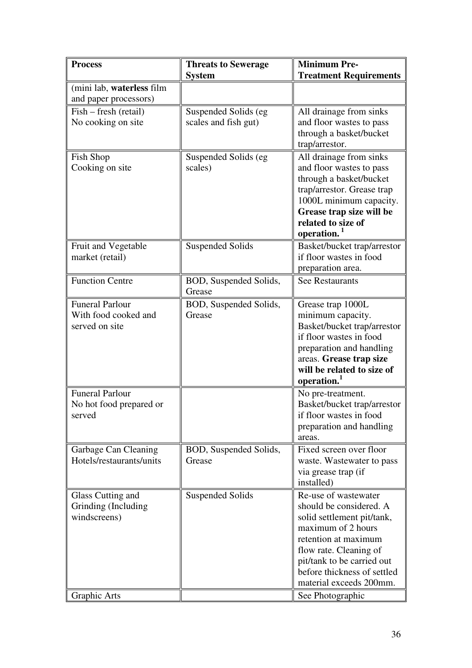| <b>Process</b>                                 | <b>Threats to Sewerage</b>       | <b>Minimum Pre-</b>                                    |
|------------------------------------------------|----------------------------------|--------------------------------------------------------|
|                                                | <b>System</b>                    | <b>Treatment Requirements</b>                          |
| (mini lab, waterless film                      |                                  |                                                        |
| and paper processors)                          |                                  |                                                        |
| Fish – fresh (retail)                          | Suspended Solids (eg             | All drainage from sinks                                |
| No cooking on site                             | scales and fish gut)             | and floor wastes to pass                               |
|                                                |                                  | through a basket/bucket                                |
|                                                |                                  | trap/arrestor.                                         |
| Fish Shop                                      | Suspended Solids (eg             | All drainage from sinks                                |
| Cooking on site                                | scales)                          | and floor wastes to pass                               |
|                                                |                                  | through a basket/bucket                                |
|                                                |                                  | trap/arrestor. Grease trap                             |
|                                                |                                  | 1000L minimum capacity.                                |
|                                                |                                  | Grease trap size will be                               |
|                                                |                                  | related to size of                                     |
|                                                |                                  | operation. <sup>1</sup>                                |
| Fruit and Vegetable                            | <b>Suspended Solids</b>          | Basket/bucket trap/arrestor<br>if floor wastes in food |
| market (retail)                                |                                  |                                                        |
|                                                |                                  | preparation area.                                      |
| <b>Function Centre</b>                         | BOD, Suspended Solids,<br>Grease | <b>See Restaurants</b>                                 |
|                                                |                                  |                                                        |
| <b>Funeral Parlour</b><br>With food cooked and | BOD, Suspended Solids,           | Grease trap 1000L                                      |
| served on site                                 | Grease                           | minimum capacity.<br>Basket/bucket trap/arrestor       |
|                                                |                                  | if floor wastes in food                                |
|                                                |                                  | preparation and handling                               |
|                                                |                                  | areas. Grease trap size                                |
|                                                |                                  | will be related to size of                             |
|                                                |                                  | operation.                                             |
| <b>Funeral Parlour</b>                         |                                  | No pre-treatment.                                      |
| No hot food prepared or                        |                                  | Basket/bucket trap/arrestor                            |
| served                                         |                                  | if floor wastes in food                                |
|                                                |                                  | preparation and handling                               |
|                                                |                                  | areas.                                                 |
| Garbage Can Cleaning                           | BOD, Suspended Solids,           | Fixed screen over floor                                |
| Hotels/restaurants/units                       | Grease                           | waste. Wastewater to pass                              |
|                                                |                                  | via grease trap (if                                    |
|                                                |                                  | installed)                                             |
| Glass Cutting and                              | <b>Suspended Solids</b>          | Re-use of wastewater                                   |
| Grinding (Including                            |                                  | should be considered. A                                |
| windscreens)                                   |                                  | solid settlement pit/tank,                             |
|                                                |                                  | maximum of 2 hours                                     |
|                                                |                                  | retention at maximum                                   |
|                                                |                                  | flow rate. Cleaning of                                 |
|                                                |                                  | pit/tank to be carried out                             |
|                                                |                                  | before thickness of settled                            |
|                                                |                                  | material exceeds 200mm.                                |
| Graphic Arts                                   |                                  | See Photographic                                       |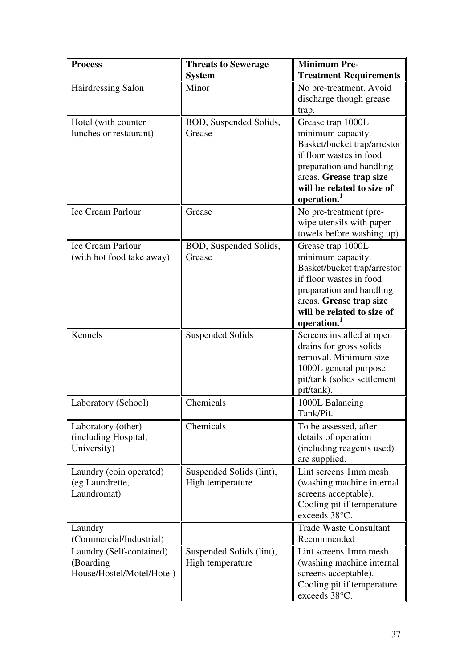| <b>Process</b>                             | <b>Threats to Sewerage</b>                   | <b>Minimum Pre-</b>                                 |
|--------------------------------------------|----------------------------------------------|-----------------------------------------------------|
|                                            | <b>System</b>                                | <b>Treatment Requirements</b>                       |
| Hairdressing Salon                         | Minor                                        | No pre-treatment. Avoid                             |
|                                            |                                              | discharge though grease                             |
|                                            |                                              | trap.                                               |
| Hotel (with counter                        | BOD, Suspended Solids,                       | Grease trap 1000L                                   |
| lunches or restaurant)                     | Grease                                       | minimum capacity.                                   |
|                                            |                                              | Basket/bucket trap/arrestor                         |
|                                            |                                              | if floor wastes in food                             |
|                                            |                                              | preparation and handling<br>areas. Grease trap size |
|                                            |                                              | will be related to size of                          |
|                                            |                                              | operation. <sup>1</sup>                             |
| Ice Cream Parlour                          | Grease                                       | No pre-treatment (pre-                              |
|                                            |                                              | wipe utensils with paper                            |
|                                            |                                              | towels before washing up)                           |
| Ice Cream Parlour                          | BOD, Suspended Solids,                       | Grease trap 1000L                                   |
| (with hot food take away)                  | Grease                                       | minimum capacity.                                   |
|                                            |                                              | Basket/bucket trap/arrestor                         |
|                                            |                                              | if floor wastes in food                             |
|                                            |                                              | preparation and handling                            |
|                                            |                                              | areas. Grease trap size                             |
|                                            |                                              | will be related to size of<br>operation.            |
| Kennels                                    | <b>Suspended Solids</b>                      | Screens installed at open                           |
|                                            |                                              | drains for gross solids                             |
|                                            |                                              | removal. Minimum size                               |
|                                            |                                              | 1000L general purpose                               |
|                                            |                                              | pit/tank (solids settlement                         |
|                                            |                                              | pit/tank).                                          |
| Laboratory (School)                        | Chemicals                                    | 1000L Balancing                                     |
|                                            |                                              | Tank/Pit.                                           |
| Laboratory (other)                         | Chemicals                                    | To be assessed, after                               |
| (including Hospital,                       |                                              | details of operation                                |
| University)                                |                                              | (including reagents used)                           |
|                                            |                                              | are supplied.                                       |
| Laundry (coin operated)<br>(eg Laundrette, | Suspended Solids (lint),<br>High temperature | Lint screens 1mm mesh                               |
| Laundromat)                                |                                              | (washing machine internal<br>screens acceptable).   |
|                                            |                                              | Cooling pit if temperature                          |
|                                            |                                              | exceeds 38°C.                                       |
| Laundry                                    |                                              | <b>Trade Waste Consultant</b>                       |
| (Commercial/Industrial)                    |                                              | Recommended                                         |
| Laundry (Self-contained)                   | Suspended Solids (lint),                     | Lint screens 1mm mesh                               |
| (Boarding                                  | High temperature                             | (washing machine internal                           |
| House/Hostel/Motel/Hotel)                  |                                              | screens acceptable).                                |
|                                            |                                              | Cooling pit if temperature                          |
|                                            |                                              | exceeds 38°C.                                       |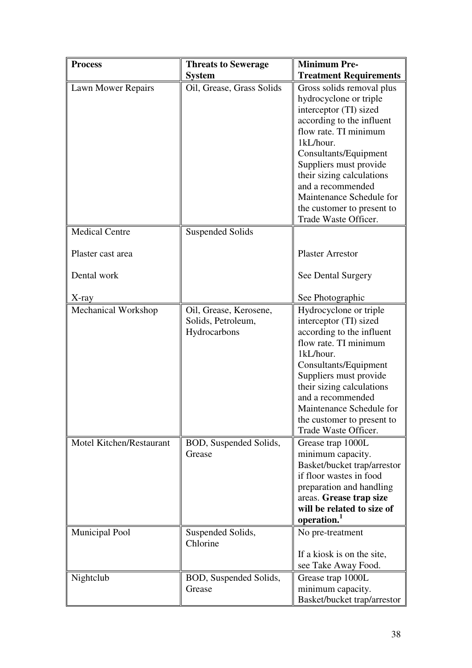| <b>Process</b>                                           | <b>Threats to Sewerage</b>                                   | <b>Minimum Pre-</b>                                                                                                                                                                                                                                                                                                                     |
|----------------------------------------------------------|--------------------------------------------------------------|-----------------------------------------------------------------------------------------------------------------------------------------------------------------------------------------------------------------------------------------------------------------------------------------------------------------------------------------|
|                                                          | <b>System</b>                                                | <b>Treatment Requirements</b>                                                                                                                                                                                                                                                                                                           |
| Lawn Mower Repairs                                       | Oil, Grease, Grass Solids                                    | Gross solids removal plus<br>hydrocyclone or triple<br>interceptor (TI) sized<br>according to the influent<br>flow rate. TI minimum<br>1kL/hour.<br>Consultants/Equipment<br>Suppliers must provide<br>their sizing calculations<br>and a recommended<br>Maintenance Schedule for<br>the customer to present to<br>Trade Waste Officer. |
| <b>Medical Centre</b>                                    | <b>Suspended Solids</b>                                      |                                                                                                                                                                                                                                                                                                                                         |
| Plaster cast area                                        |                                                              | <b>Plaster Arrestor</b>                                                                                                                                                                                                                                                                                                                 |
| Dental work                                              |                                                              | See Dental Surgery                                                                                                                                                                                                                                                                                                                      |
| X-ray                                                    |                                                              | See Photographic                                                                                                                                                                                                                                                                                                                        |
| Mechanical Workshop                                      | Oil, Grease, Kerosene,<br>Solids, Petroleum,<br>Hydrocarbons | Hydrocyclone or triple<br>interceptor (TI) sized<br>according to the influent<br>flow rate. TI minimum<br>1kL/hour.<br>Consultants/Equipment<br>Suppliers must provide<br>their sizing calculations<br>and a recommended<br>Maintenance Schedule for<br>the customer to present to<br>Trade Waste Officer.                              |
| <b>Motel Kitchen/Restaurant</b><br><b>Municipal Pool</b> | BOD, Suspended Solids,<br>Grease<br>Suspended Solids,        | Grease trap 1000L<br>minimum capacity.<br>Basket/bucket trap/arrestor<br>if floor wastes in food<br>preparation and handling<br>areas. Grease trap size<br>will be related to size of<br>operation.<br>No pre-treatment                                                                                                                 |
|                                                          | Chlorine                                                     | If a kiosk is on the site,<br>see Take Away Food.                                                                                                                                                                                                                                                                                       |
| Nightclub                                                | BOD, Suspended Solids,<br>Grease                             | Grease trap 1000L<br>minimum capacity.<br>Basket/bucket trap/arrestor                                                                                                                                                                                                                                                                   |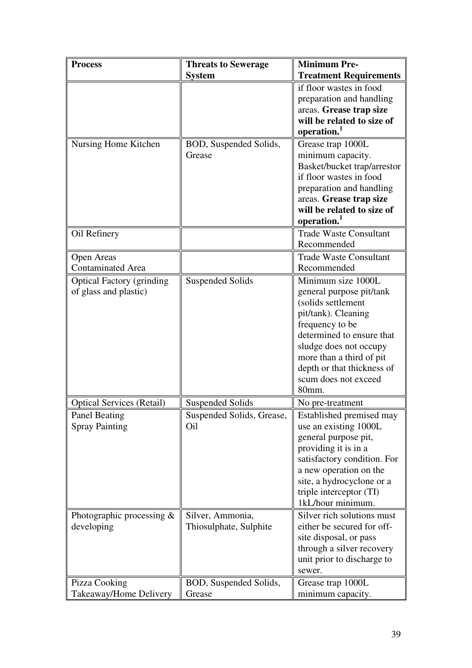| <b>Process</b>                    | <b>Threats to Sewerage</b> | <b>Minimum Pre-</b>                                   |
|-----------------------------------|----------------------------|-------------------------------------------------------|
|                                   | <b>System</b>              | <b>Treatment Requirements</b>                         |
|                                   |                            | if floor wastes in food                               |
|                                   |                            | preparation and handling                              |
|                                   |                            | areas. Grease trap size                               |
|                                   |                            | will be related to size of                            |
|                                   |                            | operation. <sup>1</sup>                               |
| Nursing Home Kitchen              | BOD, Suspended Solids,     | Grease trap 1000L                                     |
|                                   | Grease                     | minimum capacity.                                     |
|                                   |                            | Basket/bucket trap/arrestor                           |
|                                   |                            | if floor wastes in food                               |
|                                   |                            | preparation and handling                              |
|                                   |                            | areas. Grease trap size<br>will be related to size of |
|                                   |                            | operation.                                            |
| Oil Refinery                      |                            | <b>Trade Waste Consultant</b>                         |
|                                   |                            | Recommended                                           |
| <b>Open Areas</b>                 |                            | <b>Trade Waste Consultant</b>                         |
| <b>Contaminated Area</b>          |                            | Recommended                                           |
| <b>Optical Factory (grinding)</b> | <b>Suspended Solids</b>    | Minimum size 1000L                                    |
| of glass and plastic)             |                            | general purpose pit/tank                              |
|                                   |                            | (solids settlement                                    |
|                                   |                            | pit/tank). Cleaning                                   |
|                                   |                            | frequency to be                                       |
|                                   |                            | determined to ensure that                             |
|                                   |                            | sludge does not occupy                                |
|                                   |                            | more than a third of pit                              |
|                                   |                            | depth or that thickness of                            |
|                                   |                            | scum does not exceed                                  |
|                                   |                            | 80mm.                                                 |
| <b>Optical Services (Retail)</b>  | <b>Suspended Solids</b>    | No pre-treatment                                      |
| Panel Beating                     | Suspended Solids, Grease,  | Established premised may                              |
| <b>Spray Painting</b>             | Oil                        | use an existing 1000L                                 |
|                                   |                            | general purpose pit,                                  |
|                                   |                            | providing it is in a                                  |
|                                   |                            | satisfactory condition. For                           |
|                                   |                            | a new operation on the                                |
|                                   |                            | site, a hydrocyclone or a<br>triple interceptor (TI)  |
|                                   |                            | 1kL/hour minimum.                                     |
| Photographic processing $&$       | Silver, Ammonia,           | Silver rich solutions must                            |
| developing                        | Thiosulphate, Sulphite     | either be secured for off-                            |
|                                   |                            | site disposal, or pass                                |
|                                   |                            | through a silver recovery                             |
|                                   |                            | unit prior to discharge to                            |
|                                   |                            | sewer.                                                |
| Pizza Cooking                     | BOD, Suspended Solids,     | Grease trap 1000L                                     |
| Takeaway/Home Delivery            | Grease                     | minimum capacity.                                     |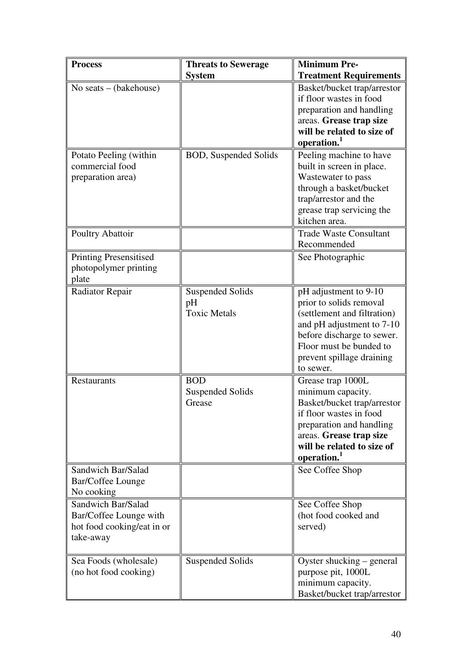| <b>Process</b>                                                                          | <b>Threats to Sewerage</b>                           | <b>Minimum Pre-</b>                                                                                                                                                                                              |
|-----------------------------------------------------------------------------------------|------------------------------------------------------|------------------------------------------------------------------------------------------------------------------------------------------------------------------------------------------------------------------|
|                                                                                         | <b>System</b>                                        | <b>Treatment Requirements</b>                                                                                                                                                                                    |
| No seats $-$ (bakehouse)                                                                |                                                      | Basket/bucket trap/arrestor<br>if floor wastes in food<br>preparation and handling<br>areas. Grease trap size<br>will be related to size of<br>operation.                                                        |
| Potato Peeling (within<br>commercial food<br>preparation area)                          | <b>BOD, Suspended Solids</b>                         | Peeling machine to have<br>built in screen in place.<br>Wastewater to pass<br>through a basket/bucket<br>trap/arrestor and the<br>grease trap servicing the<br>kitchen area.                                     |
| Poultry Abattoir                                                                        |                                                      | <b>Trade Waste Consultant</b><br>Recommended                                                                                                                                                                     |
| <b>Printing Presensitised</b><br>photopolymer printing<br>plate                         |                                                      | See Photographic                                                                                                                                                                                                 |
| <b>Radiator Repair</b>                                                                  | <b>Suspended Solids</b><br>pH<br><b>Toxic Metals</b> | pH adjustment to 9-10<br>prior to solids removal<br>(settlement and filtration)<br>and pH adjustment to 7-10<br>before discharge to sewer.<br>Floor must be bunded to<br>prevent spillage draining<br>to sewer.  |
| Restaurants                                                                             | <b>BOD</b><br>Suspended Solids<br>Grease             | Grease trap 1000L<br>minimum capacity.<br>Basket/bucket trap/arrestor<br>if floor wastes in food<br>preparation and handling<br>areas. Grease trap size<br>will be related to size of<br>operation. <sup>1</sup> |
| Sandwich Bar/Salad<br>Bar/Coffee Lounge<br>No cooking                                   |                                                      | See Coffee Shop                                                                                                                                                                                                  |
| Sandwich Bar/Salad<br>Bar/Coffee Lounge with<br>hot food cooking/eat in or<br>take-away |                                                      | See Coffee Shop<br>(hot food cooked and<br>served)                                                                                                                                                               |
| Sea Foods (wholesale)<br>(no hot food cooking)                                          | <b>Suspended Solids</b>                              | Oyster shucking – general<br>purpose pit, 1000L<br>minimum capacity.<br>Basket/bucket trap/arrestor                                                                                                              |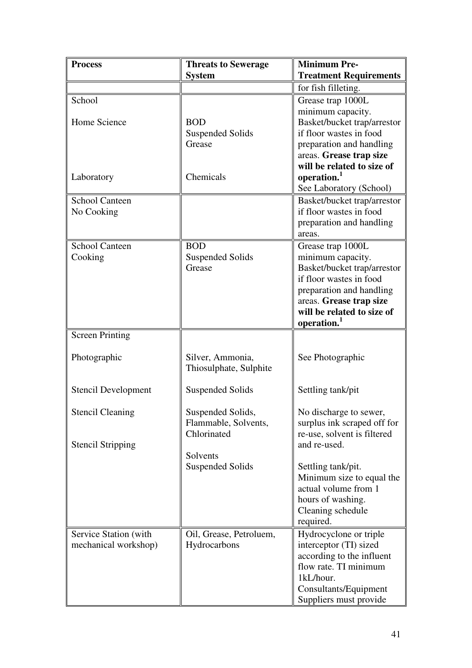| <b>Process</b>             | <b>Threats to Sewerage</b>        | <b>Minimum Pre-</b>                                    |
|----------------------------|-----------------------------------|--------------------------------------------------------|
|                            | <b>System</b>                     | <b>Treatment Requirements</b>                          |
|                            |                                   | for fish filleting.                                    |
| School                     |                                   | Grease trap 1000L                                      |
|                            |                                   | minimum capacity.                                      |
| Home Science               | <b>BOD</b>                        | Basket/bucket trap/arrestor                            |
|                            | <b>Suspended Solids</b>           | if floor wastes in food                                |
|                            | Grease                            | preparation and handling                               |
|                            |                                   | areas. Grease trap size                                |
|                            |                                   | will be related to size of                             |
| Laboratory                 | Chemicals                         | operation. <sup>1</sup>                                |
|                            |                                   | See Laboratory (School)                                |
| <b>School Canteen</b>      |                                   | Basket/bucket trap/arrestor                            |
| No Cooking                 |                                   | if floor wastes in food                                |
|                            |                                   | preparation and handling                               |
|                            |                                   | areas.                                                 |
| <b>School Canteen</b>      | <b>BOD</b>                        | Grease trap 1000L                                      |
| Cooking                    | <b>Suspended Solids</b><br>Grease | minimum capacity.                                      |
|                            |                                   | Basket/bucket trap/arrestor<br>if floor wastes in food |
|                            |                                   | preparation and handling                               |
|                            |                                   | areas. Grease trap size                                |
|                            |                                   | will be related to size of                             |
|                            |                                   | operation.                                             |
| <b>Screen Printing</b>     |                                   |                                                        |
|                            |                                   |                                                        |
| Photographic               | Silver, Ammonia,                  | See Photographic                                       |
|                            | Thiosulphate, Sulphite            |                                                        |
|                            |                                   |                                                        |
| <b>Stencil Development</b> | <b>Suspended Solids</b>           | Settling tank/pit                                      |
|                            |                                   |                                                        |
| <b>Stencil Cleaning</b>    | Suspended Solids,                 | No discharge to sewer,                                 |
|                            | Flammable, Solvents,              | surplus ink scraped off for                            |
|                            | Chlorinated                       | re-use, solvent is filtered                            |
| <b>Stencil Stripping</b>   | Solvents                          | and re-used.                                           |
|                            | <b>Suspended Solids</b>           | Settling tank/pit.                                     |
|                            |                                   | Minimum size to equal the                              |
|                            |                                   | actual volume from 1                                   |
|                            |                                   | hours of washing.                                      |
|                            |                                   | Cleaning schedule                                      |
|                            |                                   | required.                                              |
| Service Station (with      | Oil, Grease, Petroluem,           | Hydrocyclone or triple                                 |
| mechanical workshop)       | Hydrocarbons                      | interceptor (TI) sized                                 |
|                            |                                   | according to the influent                              |
|                            |                                   | flow rate. TI minimum                                  |
|                            |                                   | 1kL/hour.                                              |
|                            |                                   | Consultants/Equipment                                  |
|                            |                                   | Suppliers must provide                                 |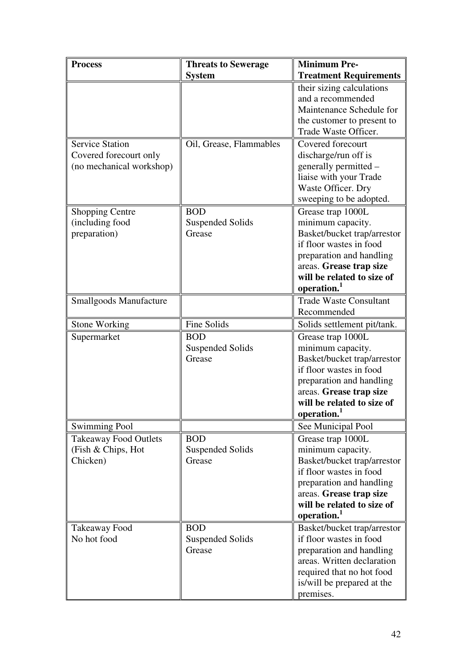| <b>Process</b>                | <b>Threats to Sewerage</b> | <b>Minimum Pre-</b>                                                        |
|-------------------------------|----------------------------|----------------------------------------------------------------------------|
|                               | <b>System</b>              | <b>Treatment Requirements</b>                                              |
|                               |                            | their sizing calculations<br>and a recommended<br>Maintenance Schedule for |
|                               |                            | the customer to present to                                                 |
|                               |                            | Trade Waste Officer.                                                       |
| <b>Service Station</b>        | Oil, Grease, Flammables    | Covered forecourt                                                          |
| Covered forecourt only        |                            | discharge/run off is                                                       |
| (no mechanical workshop)      |                            | generally permitted –                                                      |
|                               |                            | liaise with your Trade<br>Waste Officer. Dry                               |
|                               |                            | sweeping to be adopted.                                                    |
| <b>Shopping Centre</b>        | <b>BOD</b>                 | Grease trap 1000L                                                          |
| (including food               | <b>Suspended Solids</b>    | minimum capacity.                                                          |
| preparation)                  | Grease                     | Basket/bucket trap/arrestor                                                |
|                               |                            | if floor wastes in food                                                    |
|                               |                            | preparation and handling                                                   |
|                               |                            | areas. Grease trap size                                                    |
|                               |                            | will be related to size of                                                 |
|                               |                            | operation. <sup>1</sup>                                                    |
| <b>Smallgoods Manufacture</b> |                            | <b>Trade Waste Consultant</b>                                              |
|                               |                            | Recommended                                                                |
| <b>Stone Working</b>          | Fine Solids                | Solids settlement pit/tank.                                                |
| Supermarket                   | <b>BOD</b>                 | Grease trap 1000L                                                          |
|                               | <b>Suspended Solids</b>    | minimum capacity.                                                          |
|                               | Grease                     | Basket/bucket trap/arrestor                                                |
|                               |                            | if floor wastes in food                                                    |
|                               |                            | preparation and handling                                                   |
|                               |                            | areas. Grease trap size                                                    |
|                               |                            | will be related to size of                                                 |
|                               |                            | operation. <sup>1</sup>                                                    |
| <b>Swimming Pool</b>          |                            | See Municipal Pool                                                         |
| <b>Takeaway Food Outlets</b>  | <b>BOD</b>                 | Grease trap 1000L                                                          |
| (Fish & Chips, Hot            | <b>Suspended Solids</b>    | minimum capacity.                                                          |
| Chicken)                      | Grease                     | Basket/bucket trap/arrestor<br>if floor wastes in food                     |
|                               |                            | preparation and handling                                                   |
|                               |                            | areas. Grease trap size                                                    |
|                               |                            | will be related to size of                                                 |
|                               |                            | operation. <sup>1</sup>                                                    |
| Takeaway Food                 | <b>BOD</b>                 | Basket/bucket trap/arrestor                                                |
| No hot food                   | <b>Suspended Solids</b>    | if floor wastes in food                                                    |
|                               | Grease                     | preparation and handling                                                   |
|                               |                            | areas. Written declaration                                                 |
|                               |                            | required that no hot food                                                  |
|                               |                            | is/will be prepared at the                                                 |
|                               |                            | premises.                                                                  |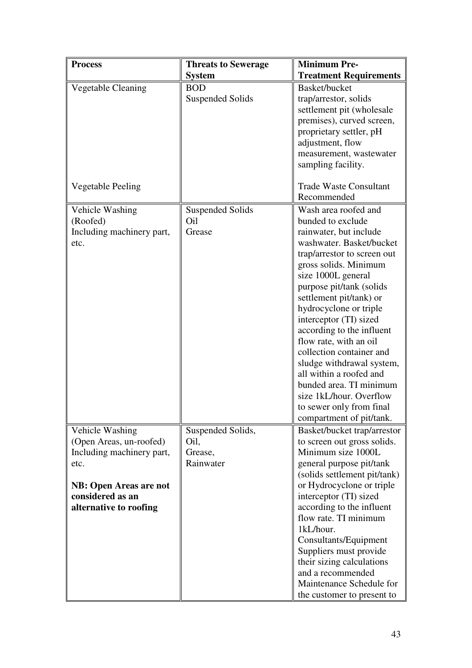| <b>Process</b>                | <b>Threats to Sewerage</b> | <b>Minimum Pre-</b>                                |
|-------------------------------|----------------------------|----------------------------------------------------|
|                               | <b>System</b>              | <b>Treatment Requirements</b>                      |
| Vegetable Cleaning            | <b>BOD</b>                 | Basket/bucket                                      |
|                               | <b>Suspended Solids</b>    | trap/arrestor, solids                              |
|                               |                            | settlement pit (wholesale                          |
|                               |                            | premises), curved screen,                          |
|                               |                            | proprietary settler, pH                            |
|                               |                            | adjustment, flow                                   |
|                               |                            | measurement, wastewater                            |
|                               |                            | sampling facility.                                 |
|                               |                            |                                                    |
| <b>Vegetable Peeling</b>      |                            | <b>Trade Waste Consultant</b>                      |
|                               |                            | Recommended                                        |
| Vehicle Washing               | <b>Suspended Solids</b>    | Wash area roofed and                               |
| (Roofed)                      | Oil                        | bunded to exclude                                  |
| Including machinery part,     | Grease                     | rainwater, but include                             |
| etc.                          |                            | washwater. Basket/bucket                           |
|                               |                            | trap/arrestor to screen out                        |
|                               |                            | gross solids. Minimum                              |
|                               |                            | size 1000L general                                 |
|                               |                            | purpose pit/tank (solids                           |
|                               |                            | settlement pit/tank) or                            |
|                               |                            | hydrocyclone or triple                             |
|                               |                            | interceptor (TI) sized                             |
|                               |                            | according to the influent                          |
|                               |                            | flow rate, with an oil                             |
|                               |                            | collection container and                           |
|                               |                            | sludge withdrawal system,                          |
|                               |                            | all within a roofed and                            |
|                               |                            | bunded area. TI minimum                            |
|                               |                            | size 1kL/hour. Overflow                            |
|                               |                            | to sewer only from final                           |
|                               |                            | compartment of pit/tank.                           |
| Vehicle Washing               | Suspended Solids,          | Basket/bucket trap/arrestor                        |
| (Open Areas, un-roofed)       | Oil,                       | to screen out gross solids.                        |
| Including machinery part,     | Grease,                    | Minimum size 1000L                                 |
| etc.                          | Rainwater                  | general purpose pit/tank                           |
|                               |                            | (solids settlement pit/tank)                       |
| <b>NB: Open Areas are not</b> |                            | or Hydrocyclone or triple                          |
| considered as an              |                            | interceptor (TI) sized                             |
| alternative to roofing        |                            | according to the influent<br>flow rate. TI minimum |
|                               |                            | 1kL/hour.                                          |
|                               |                            |                                                    |
|                               |                            | Consultants/Equipment<br>Suppliers must provide    |
|                               |                            |                                                    |
|                               |                            | their sizing calculations<br>and a recommended     |
|                               |                            | Maintenance Schedule for                           |
|                               |                            |                                                    |
|                               |                            | the customer to present to                         |